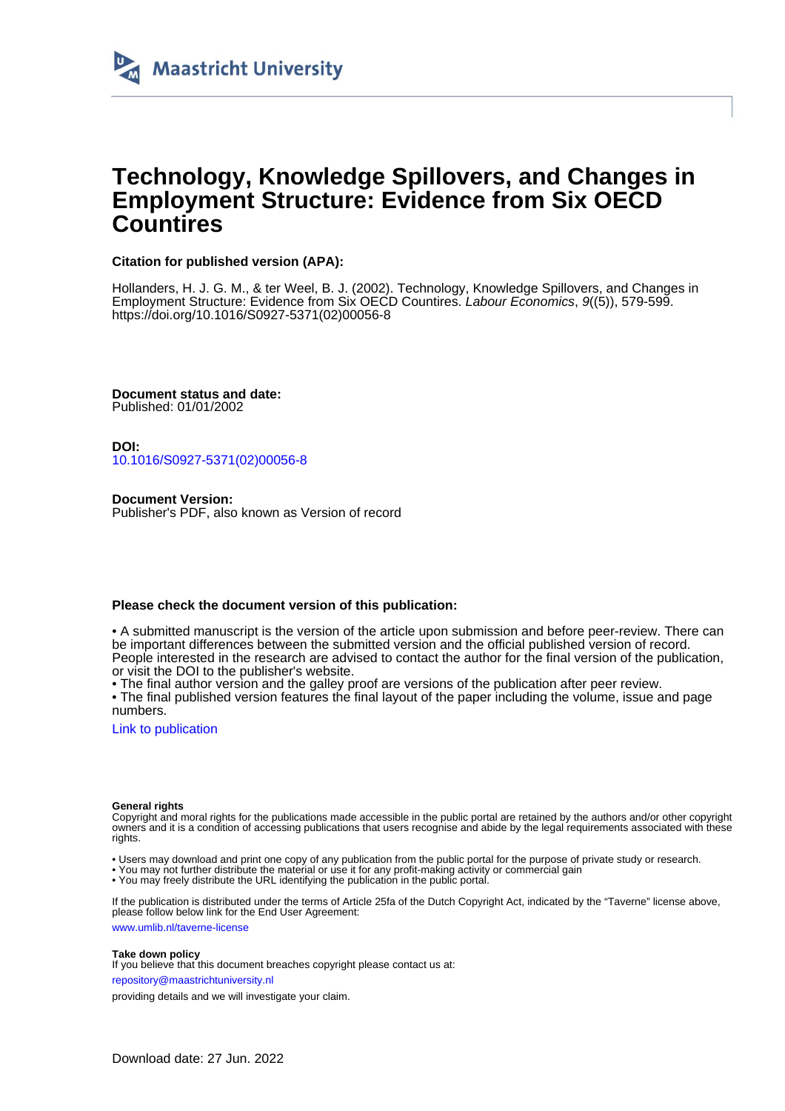

# **Technology, Knowledge Spillovers, and Changes in Employment Structure: Evidence from Six OECD Countires**

# **Citation for published version (APA):**

Hollanders, H. J. G. M., & ter Weel, B. J. (2002). Technology, Knowledge Spillovers, and Changes in Employment Structure: Evidence from Six OECD Countires. Labour Economics, 9((5)), 579-599. [https://doi.org/10.1016/S0927-5371\(02\)00056-8](https://doi.org/10.1016/S0927-5371(02)00056-8)

**Document status and date:** Published: 01/01/2002

**DOI:** [10.1016/S0927-5371\(02\)00056-8](https://doi.org/10.1016/S0927-5371(02)00056-8)

**Document Version:** Publisher's PDF, also known as Version of record

# **Please check the document version of this publication:**

• A submitted manuscript is the version of the article upon submission and before peer-review. There can be important differences between the submitted version and the official published version of record. People interested in the research are advised to contact the author for the final version of the publication, or visit the DOI to the publisher's website.

• The final author version and the galley proof are versions of the publication after peer review.

• The final published version features the final layout of the paper including the volume, issue and page numbers.

[Link to publication](https://cris.maastrichtuniversity.nl/en/publications/af90c7ce-bbf2-4435-8305-e9791b25c7e4)

#### **General rights**

Copyright and moral rights for the publications made accessible in the public portal are retained by the authors and/or other copyright owners and it is a condition of accessing publications that users recognise and abide by the legal requirements associated with these rights.

- Users may download and print one copy of any publication from the public portal for the purpose of private study or research.
- You may not further distribute the material or use it for any profit-making activity or commercial gain
- You may freely distribute the URL identifying the publication in the public portal.

If the publication is distributed under the terms of Article 25fa of the Dutch Copyright Act, indicated by the "Taverne" license above, please follow below link for the End User Agreement:

www.umlib.nl/taverne-license

#### **Take down policy**

If you believe that this document breaches copyright please contact us at: repository@maastrichtuniversity.nl

providing details and we will investigate your claim.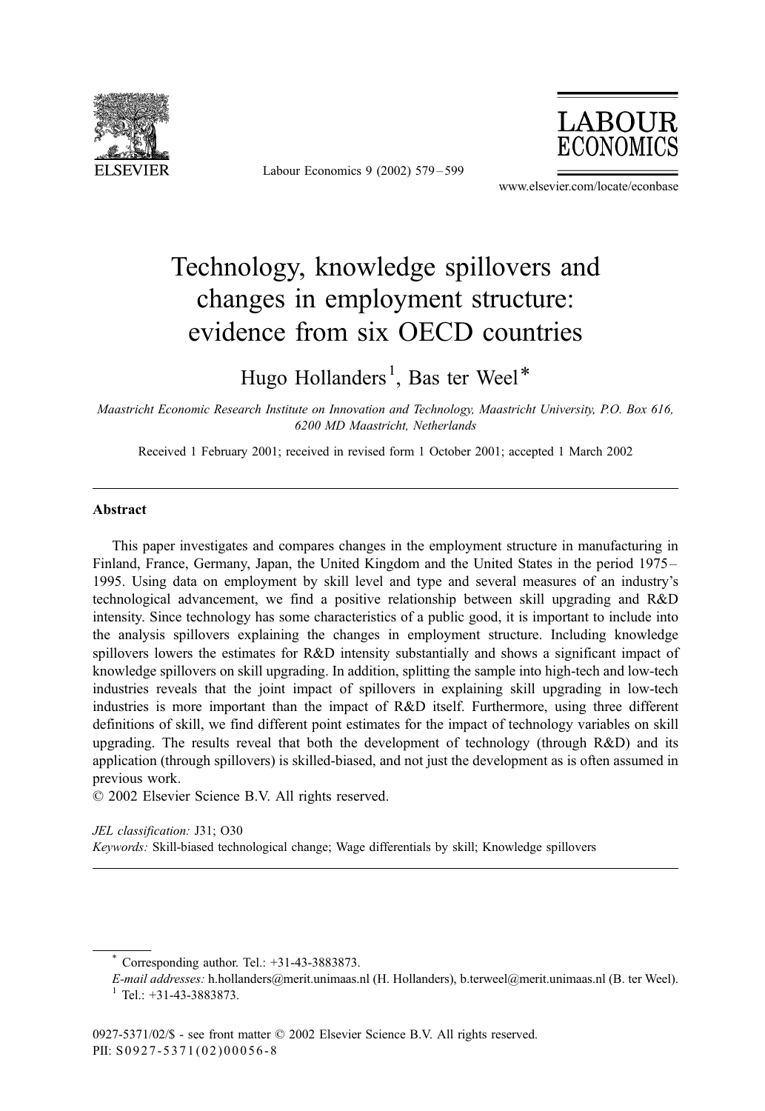

Labour Economics 9 (2002) 579 – 599



www.elsevier.com/locate/econbase

# Technology, knowledge spillovers and changes in employment structure: evidence from six OECD countries

# Hugo Hollanders<sup>1</sup>, Bas ter Weel\*

Maastricht Economic Research Institute on Innovation and Technology, Maastricht University, P.O. Box 616, 6200 MD Maastricht, Netherlands

Received 1 February 2001; received in revised form 1 October 2001; accepted 1 March 2002

#### Abstract

This paper investigates and compares changes in the employment structure in manufacturing in Finland, France, Germany, Japan, the United Kingdom and the United States in the period 1975 – 1995. Using data on employment by skill level and type and several measures of an industry's technological advancement, we find a positive relationship between skill upgrading and R&D intensity. Since technology has some characteristics of a public good, it is important to include into the analysis spillovers explaining the changes in employment structure. Including knowledge spillovers lowers the estimates for R&D intensity substantially and shows a significant impact of knowledge spillovers on skill upgrading. In addition, splitting the sample into high-tech and low-tech industries reveals that the joint impact of spillovers in explaining skill upgrading in low-tech industries is more important than the impact of R&D itself. Furthermore, using three different definitions of skill, we find different point estimates for the impact of technology variables on skill upgrading. The results reveal that both the development of technology (through R&D) and its application (through spillovers) is skilled-biased, and not just the development as is often assumed in previous work.

 $© 2002 Elsevier Science B.V. All rights reserved.$ 

JEL classification: J31; O30 Keywords: Skill-biased technological change; Wage differentials by skill; Knowledge spillovers

 $*$  Corresponding author. Tel.:  $+31-43-3883873$ .

E-mail addresses: h.hollanders@merit.unimaas.nl (H. Hollanders), b.terweel@merit.unimaas.nl (B. ter Weel). Tel.:  $+31-43-3883873$ .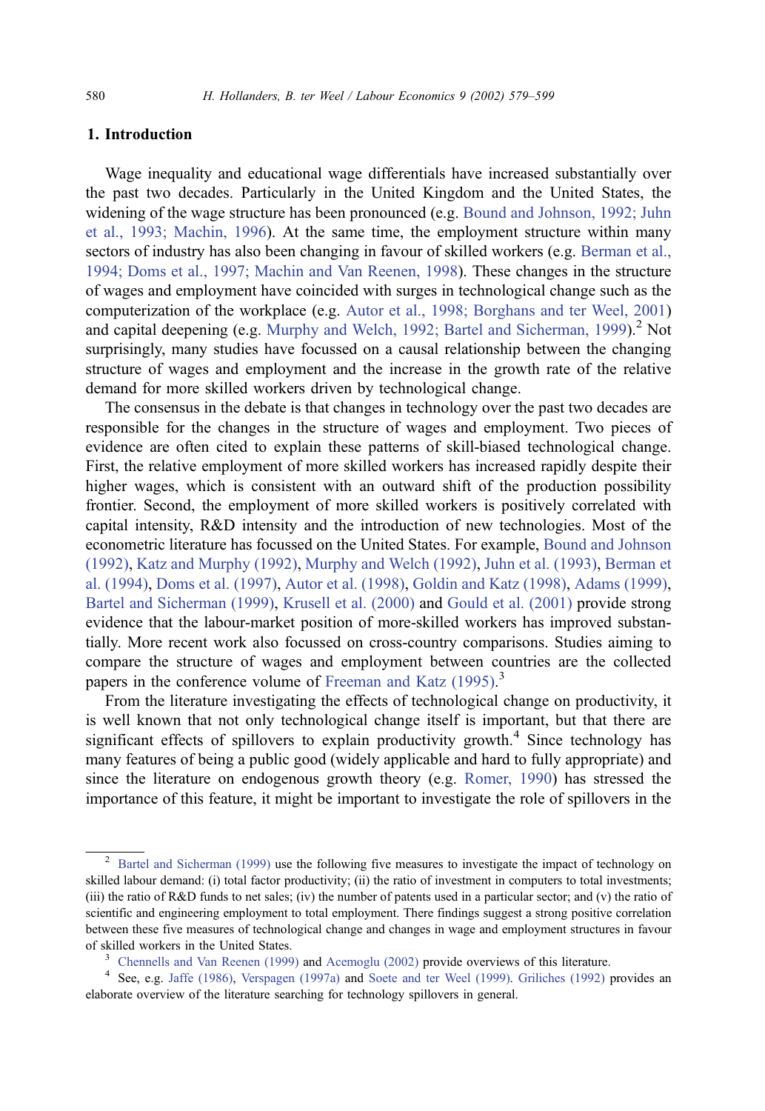# 1. Introduction

Wage inequality and educational wage differentials have increased substantially over the past two decades. Particularly in the United Kingdom and the United States, the widening of the wage structure has been pronounced (e.g. [Bound and Johnson, 1992; Juhn](#page-20-0) et al., 1993; Machin, 1996). At the same time, the employment structure within many sectors of industry has also been changing in favour of skilled workers (e.g. [Berman et al.,](#page-20-0) 1994; Doms et al., 1997; Machin and Van Reenen, 1998). These changes in the structure of wages and employment have coincided with surges in technological change such as the computerization of the workplace (e.g. [Autor et al., 1998; Borghans and ter Weel, 2001\)](#page-20-0) and capital deepening (e.g. [Murphy and Welch, 1992; Bartel and Sicherman, 1999\)](#page-21-0).<sup>2</sup> Not surprisingly, many studies have focussed on a causal relationship between the changing structure of wages and employment and the increase in the growth rate of the relative demand for more skilled workers driven by technological change.

The consensus in the debate is that changes in technology over the past two decades are responsible for the changes in the structure of wages and employment. Two pieces of evidence are often cited to explain these patterns of skill-biased technological change. First, the relative employment of more skilled workers has increased rapidly despite their higher wages, which is consistent with an outward shift of the production possibility frontier. Second, the employment of more skilled workers is positively correlated with capital intensity, R&D intensity and the introduction of new technologies. Most of the econometric literature has focussed on the United States. For example, [Bound and Johnson](#page-20-0) (1992), [Katz and Murphy \(1992\),](#page-21-0) [Murphy and Welch \(1992\),](#page-21-0) [Juhn et al. \(1993\),](#page-21-0) [Berman et](#page-20-0) al. (1994), [Doms et al. \(1997\),](#page-20-0) [Autor et al. \(1998\),](#page-20-0) [Goldin and Katz \(1998\),](#page-20-0) [Adams \(1999\),](#page-20-0) [Bartel and Sicherman \(1999\),](#page-20-0) [Krusell et al. \(2000\)](#page-21-0) and [Gould et al. \(2001\)](#page-20-0) provide strong evidence that the labour-market position of more-skilled workers has improved substantially. More recent work also focussed on cross-country comparisons. Studies aiming to compare the structure of wages and employment between countries are the collected papers in the conference volume of [Freeman and Katz \(1995\).](#page-20-0)<sup>3</sup>

From the literature investigating the effects of technological change on productivity, it is well known that not only technological change itself is important, but that there are significant effects of spillovers to explain productivity growth.<sup>4</sup> Since technology has many features of being a public good (widely applicable and hard to fully appropriate) and since the literature on endogenous growth theory (e.g. [Romer, 1990\)](#page-21-0) has stressed the importance of this feature, it might be important to investigate the role of spillovers in the

<sup>&</sup>lt;sup>2</sup> [Bartel and Sicherman \(1999\)](#page-20-0) use the following five measures to investigate the impact of technology on skilled labour demand: (i) total factor productivity; (ii) the ratio of investment in computers to total investments; (iii) the ratio of  $R&D$  funds to net sales; (iv) the number of patents used in a particular sector; and (v) the ratio of scientific and engineering employment to total employment. There findings suggest a strong positive correlation between these five measures of technological change and changes in wage and employment structures in favour of skilled workers in the United States.<br><sup>3</sup> [Chennells and Van Reenen \(1999\)](#page-20-0) and [Acemoglu \(2002\)](#page-20-0) provide overviews of this literature.

<sup>4</sup> See, e.g. [Jaffe \(1986\),](#page-21-0) [Verspagen \(1997a\)](#page-21-0) and [Soete and ter Weel \(1999\).](#page-21-0) [Griliches \(1992\)](#page-21-0) provides an elaborate overview of the literature searching for technology spillovers in general.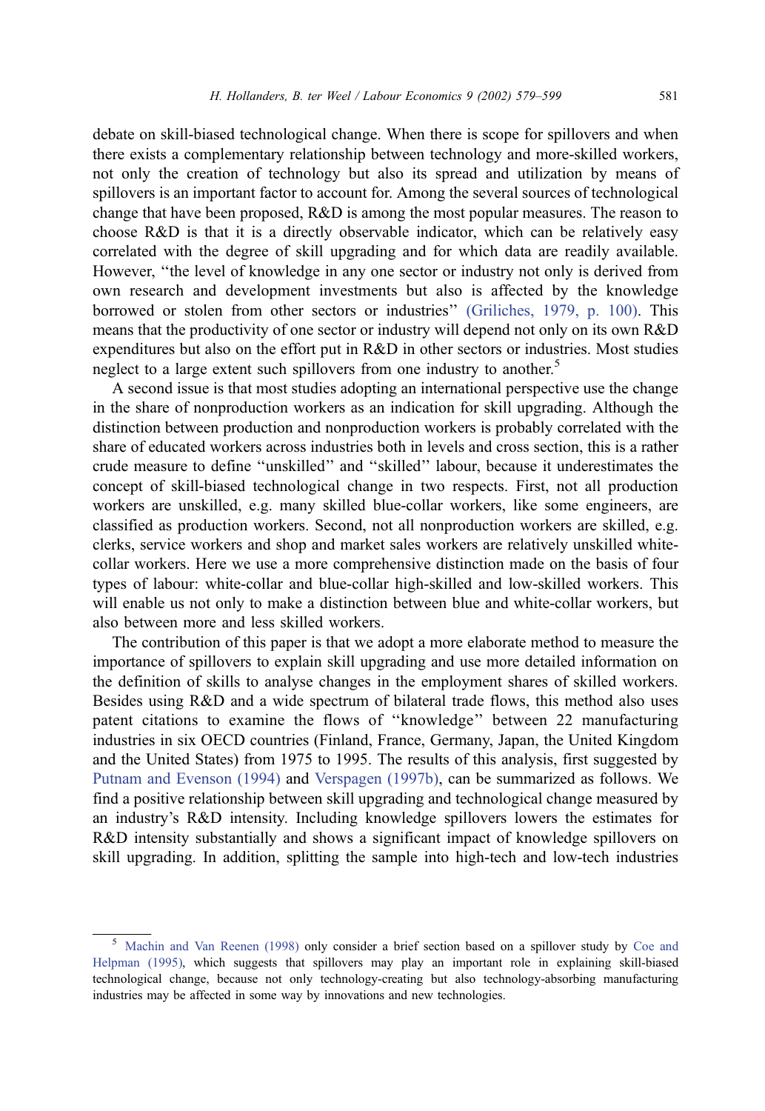debate on skill-biased technological change. When there is scope for spillovers and when there exists a complementary relationship between technology and more-skilled workers, not only the creation of technology but also its spread and utilization by means of spillovers is an important factor to account for. Among the several sources of technological change that have been proposed, R&D is among the most popular measures. The reason to choose R&D is that it is a directly observable indicator, which can be relatively easy correlated with the degree of skill upgrading and for which data are readily available. However, ''the level of knowledge in any one sector or industry not only is derived from own research and development investments but also is affected by the knowledge borrowed or stolen from other sectors or industries'' [\(Griliches, 1979, p. 100\).](#page-21-0) This means that the productivity of one sector or industry will depend not only on its own R&D expenditures but also on the effort put in R&D in other sectors or industries. Most studies neglect to a large extent such spillovers from one industry to another.<sup>5</sup>

A second issue is that most studies adopting an international perspective use the change in the share of nonproduction workers as an indication for skill upgrading. Although the distinction between production and nonproduction workers is probably correlated with the share of educated workers across industries both in levels and cross section, this is a rather crude measure to define ''unskilled'' and ''skilled'' labour, because it underestimates the concept of skill-biased technological change in two respects. First, not all production workers are unskilled, e.g. many skilled blue-collar workers, like some engineers, are classified as production workers. Second, not all nonproduction workers are skilled, e.g. clerks, service workers and shop and market sales workers are relatively unskilled whitecollar workers. Here we use a more comprehensive distinction made on the basis of four types of labour: white-collar and blue-collar high-skilled and low-skilled workers. This will enable us not only to make a distinction between blue and white-collar workers, but also between more and less skilled workers.

The contribution of this paper is that we adopt a more elaborate method to measure the importance of spillovers to explain skill upgrading and use more detailed information on the definition of skills to analyse changes in the employment shares of skilled workers. Besides using R&D and a wide spectrum of bilateral trade flows, this method also uses patent citations to examine the flows of ''knowledge'' between 22 manufacturing industries in six OECD countries (Finland, France, Germany, Japan, the United Kingdom and the United States) from 1975 to 1995. The results of this analysis, first suggested by [Putnam and Evenson \(1994\)](#page-21-0) and [Verspagen \(1997b\),](#page-21-0) can be summarized as follows. We find a positive relationship between skill upgrading and technological change measured by an industry's R&D intensity. Including knowledge spillovers lowers the estimates for R&D intensity substantially and shows a significant impact of knowledge spillovers on skill upgrading. In addition, splitting the sample into high-tech and low-tech industries

<sup>5</sup> [Machin and Van Reenen \(1998\)](#page-21-0) only consider a brief section based on a spillover study by [Coe and](#page-20-0) Helpman (1995), which suggests that spillovers may play an important role in explaining skill-biased technological change, because not only technology-creating but also technology-absorbing manufacturing industries may be affected in some way by innovations and new technologies.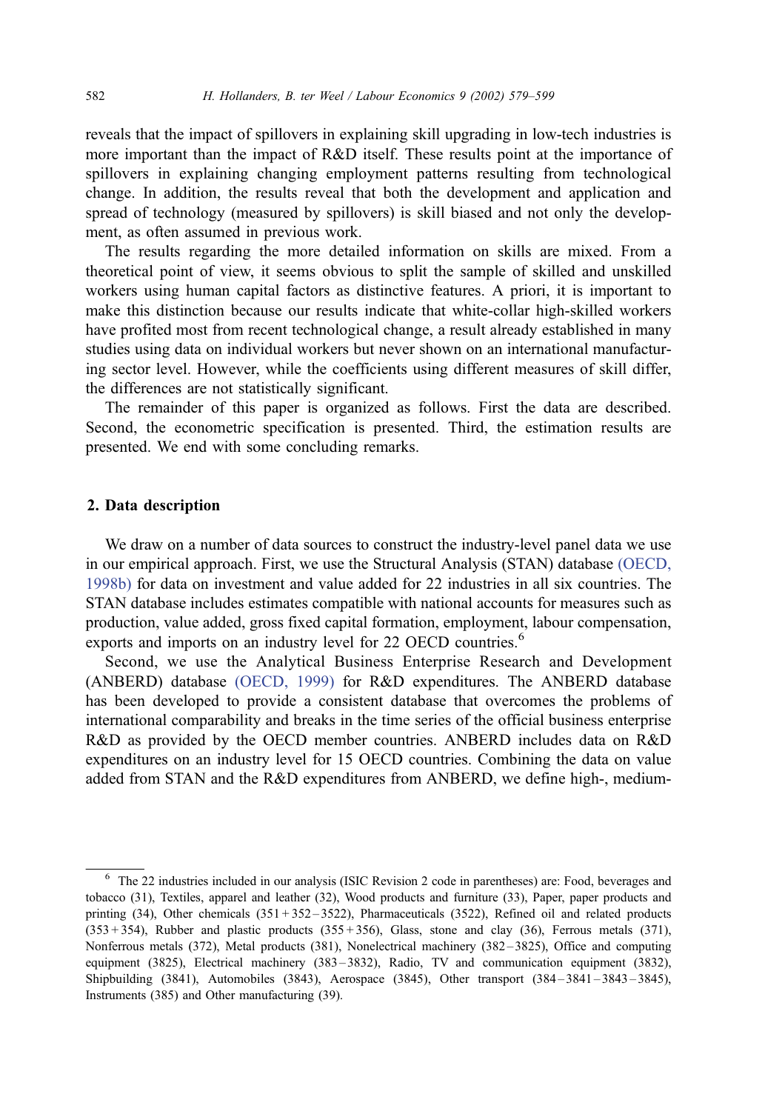reveals that the impact of spillovers in explaining skill upgrading in low-tech industries is more important than the impact of R&D itself. These results point at the importance of spillovers in explaining changing employment patterns resulting from technological change. In addition, the results reveal that both the development and application and spread of technology (measured by spillovers) is skill biased and not only the development, as often assumed in previous work.

The results regarding the more detailed information on skills are mixed. From a theoretical point of view, it seems obvious to split the sample of skilled and unskilled workers using human capital factors as distinctive features. A priori, it is important to make this distinction because our results indicate that white-collar high-skilled workers have profited most from recent technological change, a result already established in many studies using data on individual workers but never shown on an international manufacturing sector level. However, while the coefficients using different measures of skill differ, the differences are not statistically significant.

The remainder of this paper is organized as follows. First the data are described. Second, the econometric specification is presented. Third, the estimation results are presented. We end with some concluding remarks.

#### 2. Data description

We draw on a number of data sources to construct the industry-level panel data we use in our empirical approach. First, we use the Structural Analysis (STAN) database [\(OECD,](#page-21-0) 1998b) for data on investment and value added for 22 industries in all six countries. The STAN database includes estimates compatible with national accounts for measures such as production, value added, gross fixed capital formation, employment, labour compensation, exports and imports on an industry level for 22 OECD countries.<sup>6</sup>

Second, we use the Analytical Business Enterprise Research and Development (ANBERD) database [\(OECD, 1999\)](#page-21-0) for R&D expenditures. The ANBERD database has been developed to provide a consistent database that overcomes the problems of international comparability and breaks in the time series of the official business enterprise R&D as provided by the OECD member countries. ANBERD includes data on R&D expenditures on an industry level for 15 OECD countries. Combining the data on value added from STAN and the R&D expenditures from ANBERD, we define high-, medium-

<sup>6</sup> The 22 industries included in our analysis (ISIC Revision 2 code in parentheses) are: Food, beverages and tobacco (31), Textiles, apparel and leather (32), Wood products and furniture (33), Paper, paper products and printing (34), Other chemicals (351+352-3522), Pharmaceuticals (3522), Refined oil and related products (353 + 354), Rubber and plastic products (355 + 356), Glass, stone and clay (36), Ferrous metals (371), Nonferrous metals (372), Metal products (381), Nonelectrical machinery (382–3825), Office and computing equipment (3825), Electrical machinery (383 – 3832), Radio, TV and communication equipment (3832), Shipbuilding (3841), Automobiles (3843), Aerospace (3845), Other transport (384 – 3841 – 3843 – 3845), Instruments (385) and Other manufacturing (39).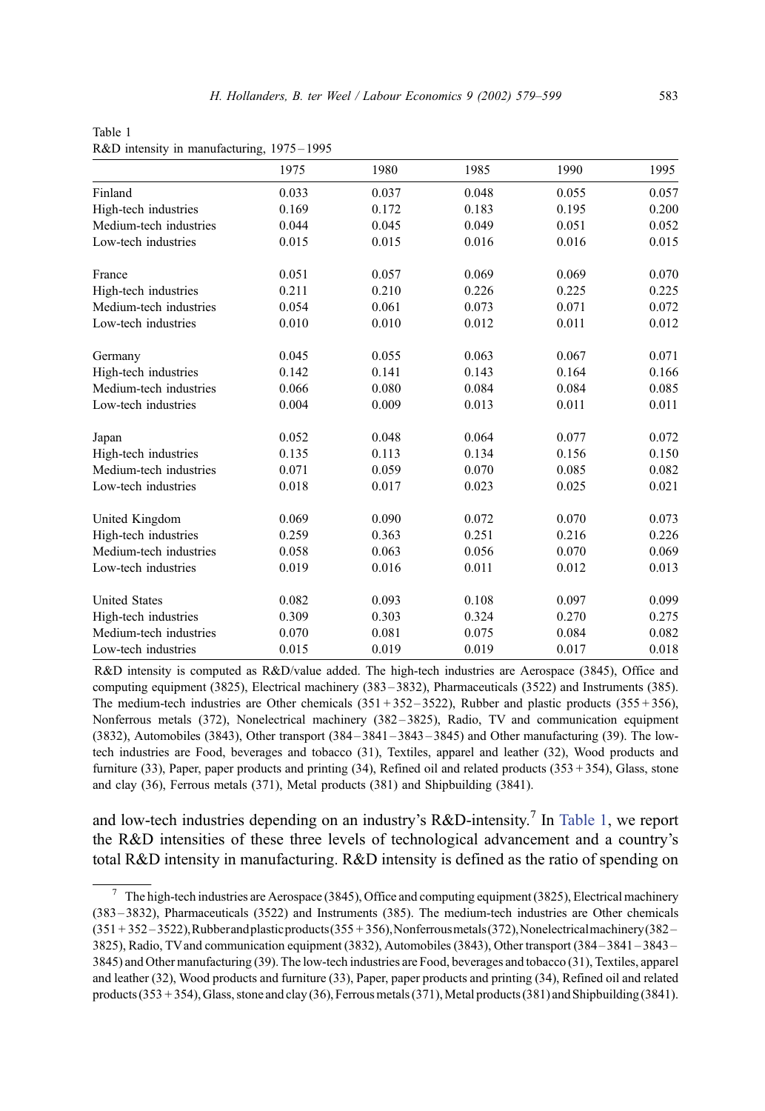|                        | 1975  | 1980  | 1985  | 1990  | 1995  |
|------------------------|-------|-------|-------|-------|-------|
| Finland                | 0.033 | 0.037 | 0.048 | 0.055 | 0.057 |
| High-tech industries   | 0.169 | 0.172 | 0.183 | 0.195 | 0.200 |
| Medium-tech industries | 0.044 | 0.045 | 0.049 | 0.051 | 0.052 |
| Low-tech industries    | 0.015 | 0.015 | 0.016 | 0.016 | 0.015 |
| France                 | 0.051 | 0.057 | 0.069 | 0.069 | 0.070 |
| High-tech industries   | 0.211 | 0.210 | 0.226 | 0.225 | 0.225 |
| Medium-tech industries | 0.054 | 0.061 | 0.073 | 0.071 | 0.072 |
| Low-tech industries    | 0.010 | 0.010 | 0.012 | 0.011 | 0.012 |
| Germany                | 0.045 | 0.055 | 0.063 | 0.067 | 0.071 |
| High-tech industries   | 0.142 | 0.141 | 0.143 | 0.164 | 0.166 |
| Medium-tech industries | 0.066 | 0.080 | 0.084 | 0.084 | 0.085 |
| Low-tech industries    | 0.004 | 0.009 | 0.013 | 0.011 | 0.011 |
| Japan                  | 0.052 | 0.048 | 0.064 | 0.077 | 0.072 |
| High-tech industries   | 0.135 | 0.113 | 0.134 | 0.156 | 0.150 |
| Medium-tech industries | 0.071 | 0.059 | 0.070 | 0.085 | 0.082 |
| Low-tech industries    | 0.018 | 0.017 | 0.023 | 0.025 | 0.021 |
| United Kingdom         | 0.069 | 0.090 | 0.072 | 0.070 | 0.073 |
| High-tech industries   | 0.259 | 0.363 | 0.251 | 0.216 | 0.226 |
| Medium-tech industries | 0.058 | 0.063 | 0.056 | 0.070 | 0.069 |
| Low-tech industries    | 0.019 | 0.016 | 0.011 | 0.012 | 0.013 |
| <b>United States</b>   | 0.082 | 0.093 | 0.108 | 0.097 | 0.099 |
| High-tech industries   | 0.309 | 0.303 | 0.324 | 0.270 | 0.275 |
| Medium-tech industries | 0.070 | 0.081 | 0.075 | 0.084 | 0.082 |
| Low-tech industries    | 0.015 | 0.019 | 0.019 | 0.017 | 0.018 |

<span id="page-5-0"></span>Table 1 R&D intensity in manufacturing, 1975 – 1995

R&D intensity is computed as R&D/value added. The high-tech industries are Aerospace (3845), Office and computing equipment (3825), Electrical machinery (383–3832), Pharmaceuticals (3522) and Instruments (385). The medium-tech industries are Other chemicals  $(351 + 352 - 3522)$ , Rubber and plastic products  $(355 + 356)$ , Nonferrous metals (372), Nonelectrical machinery (382-3825), Radio, TV and communication equipment (3832), Automobiles (3843), Other transport (384 – 3841 – 3843 – 3845) and Other manufacturing (39). The lowtech industries are Food, beverages and tobacco (31), Textiles, apparel and leather (32), Wood products and furniture (33), Paper, paper products and printing (34), Refined oil and related products (353 + 354), Glass, stone and clay (36), Ferrous metals (371), Metal products (381) and Shipbuilding (3841).

and low-tech industries depending on an industry's R&D-intensity.<sup>7</sup> In Table 1, we report the R&D intensities of these three levels of technological advancement and a country's total R&D intensity in manufacturing. R&D intensity is defined as the ratio of spending on

<sup>7</sup> The high-tech industries are Aerospace (3845), Office and computing equipment (3825), Electrical machinery (383 – 3832), Pharmaceuticals (3522) and Instruments (385). The medium-tech industries are Other chemicals  $(351 + 352 - 3522)$ ,Rubberand plastic products $(355 + 356)$ , Nonferrous metals $(372)$ , Nonelectrical machinery $(382 -$ 3825), Radio, TVand communication equipment (3832), Automobiles (3843), Other transport (384 – 3841 – 3843 – 3845) and Other manufacturing (39). The low-tech industries are Food, beverages and tobacco (31), Textiles, apparel and leather (32), Wood products and furniture (33), Paper, paper products and printing (34), Refined oil and related products  $(353 + 354)$ , Glass, stone and clay  $(36)$ , Ferrous metals  $(371)$ , Metal products  $(381)$  and Shipbuilding  $(3841)$ .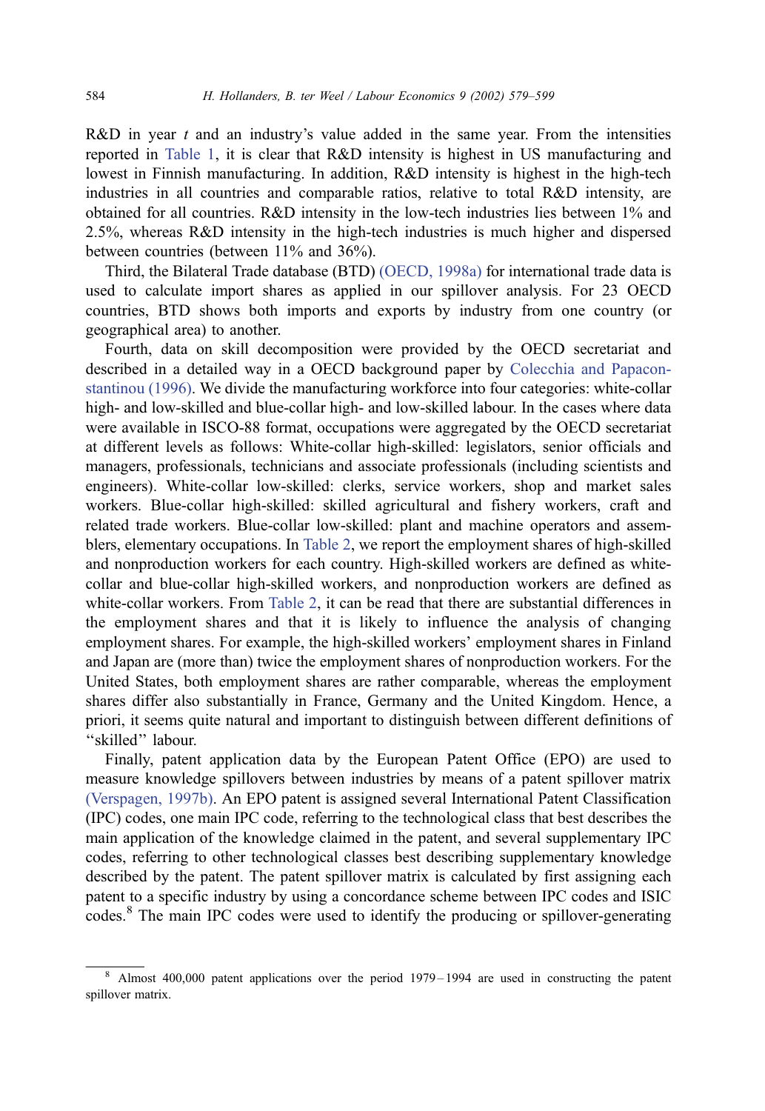R&D in year  $t$  and an industry's value added in the same year. From the intensities reported in [Table 1,](#page-5-0) it is clear that R&D intensity is highest in US manufacturing and lowest in Finnish manufacturing. In addition, R&D intensity is highest in the high-tech industries in all countries and comparable ratios, relative to total R&D intensity, are obtained for all countries. R&D intensity in the low-tech industries lies between 1% and 2.5%, whereas R&D intensity in the high-tech industries is much higher and dispersed between countries (between 11% and 36%).

Third, the Bilateral Trade database (BTD) [\(OECD, 1998a\)](#page-21-0) for international trade data is used to calculate import shares as applied in our spillover analysis. For 23 OECD countries, BTD shows both imports and exports by industry from one country (or geographical area) to another.

Fourth, data on skill decomposition were provided by the OECD secretariat and described in a detailed way in a OECD background paper by [Colecchia and Papacon](#page-20-0)stantinou (1996). We divide the manufacturing workforce into four categories: white-collar high- and low-skilled and blue-collar high- and low-skilled labour. In the cases where data were available in ISCO-88 format, occupations were aggregated by the OECD secretariat at different levels as follows: White-collar high-skilled: legislators, senior officials and managers, professionals, technicians and associate professionals (including scientists and engineers). White-collar low-skilled: clerks, service workers, shop and market sales workers. Blue-collar high-skilled: skilled agricultural and fishery workers, craft and related trade workers. Blue-collar low-skilled: plant and machine operators and assemblers, elementary occupations. In [Table 2,](#page-7-0) we report the employment shares of high-skilled and nonproduction workers for each country. High-skilled workers are defined as whitecollar and blue-collar high-skilled workers, and nonproduction workers are defined as white-collar workers. From [Table 2,](#page-7-0) it can be read that there are substantial differences in the employment shares and that it is likely to influence the analysis of changing employment shares. For example, the high-skilled workers' employment shares in Finland and Japan are (more than) twice the employment shares of nonproduction workers. For the United States, both employment shares are rather comparable, whereas the employment shares differ also substantially in France, Germany and the United Kingdom. Hence, a priori, it seems quite natural and important to distinguish between different definitions of "skilled" labour.

Finally, patent application data by the European Patent Office (EPO) are used to measure knowledge spillovers between industries by means of a patent spillover matrix [\(Verspagen, 1997b\).](#page-21-0) An EPO patent is assigned several International Patent Classification (IPC) codes, one main IPC code, referring to the technological class that best describes the main application of the knowledge claimed in the patent, and several supplementary IPC codes, referring to other technological classes best describing supplementary knowledge described by the patent. The patent spillover matrix is calculated by first assigning each patent to a specific industry by using a concordance scheme between IPC codes and ISIC codes.<sup>8</sup> The main IPC codes were used to identify the producing or spillover-generating

<sup>&</sup>lt;sup>8</sup> Almost 400,000 patent applications over the period 1979–1994 are used in constructing the patent spillover matrix.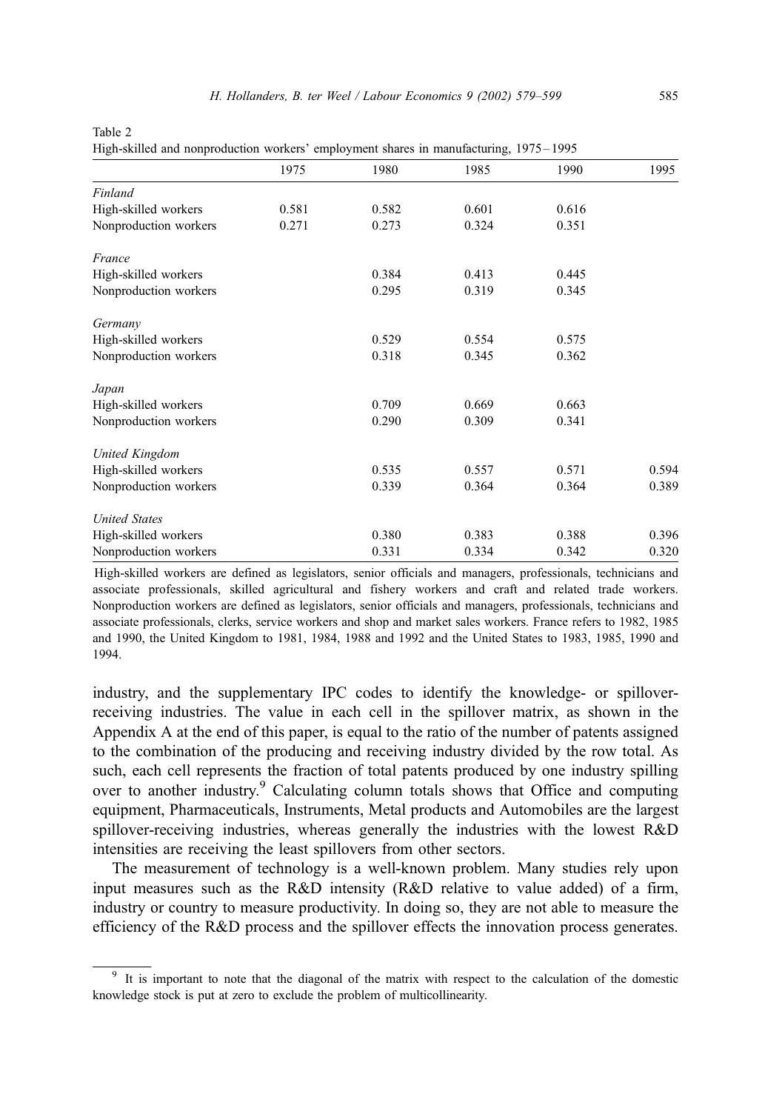<span id="page-7-0"></span>Table 2

High-skilled and nonproduction workers' employment shares in manufacturing, 1975 – 1995

|                       | 1975  | 1980  | 1985  | 1990  | 1995  |
|-----------------------|-------|-------|-------|-------|-------|
| Finland               |       |       |       |       |       |
| High-skilled workers  | 0.581 | 0.582 | 0.601 | 0.616 |       |
| Nonproduction workers | 0.271 | 0.273 | 0.324 | 0.351 |       |
| France                |       |       |       |       |       |
| High-skilled workers  |       | 0.384 | 0.413 | 0.445 |       |
| Nonproduction workers |       | 0.295 | 0.319 | 0.345 |       |
| Germany               |       |       |       |       |       |
| High-skilled workers  |       | 0.529 | 0.554 | 0.575 |       |
| Nonproduction workers |       | 0.318 | 0.345 | 0.362 |       |
| Japan                 |       |       |       |       |       |
| High-skilled workers  |       | 0.709 | 0.669 | 0.663 |       |
| Nonproduction workers |       | 0.290 | 0.309 | 0.341 |       |
| United Kingdom        |       |       |       |       |       |
| High-skilled workers  |       | 0.535 | 0.557 | 0.571 | 0.594 |
| Nonproduction workers |       | 0.339 | 0.364 | 0.364 | 0.389 |
| <b>United States</b>  |       |       |       |       |       |
| High-skilled workers  |       | 0.380 | 0.383 | 0.388 | 0.396 |
| Nonproduction workers |       | 0.331 | 0.334 | 0.342 | 0.320 |

High-skilled workers are defined as legislators, senior officials and managers, professionals, technicians and associate professionals, skilled agricultural and fishery workers and craft and related trade workers. Nonproduction workers are defined as legislators, senior officials and managers, professionals, technicians and associate professionals, clerks, service workers and shop and market sales workers. France refers to 1982, 1985 and 1990, the United Kingdom to 1981, 1984, 1988 and 1992 and the United States to 1983, 1985, 1990 and 1994.

industry, and the supplementary IPC codes to identify the knowledge- or spilloverreceiving industries. The value in each cell in the spillover matrix, as shown in the Appendix A at the end of this paper, is equal to the ratio of the number of patents assigned to the combination of the producing and receiving industry divided by the row total. As such, each cell represents the fraction of total patents produced by one industry spilling over to another industry.<sup>9</sup> Calculating column totals shows that Office and computing equipment, Pharmaceuticals, Instruments, Metal products and Automobiles are the largest spillover-receiving industries, whereas generally the industries with the lowest R&D intensities are receiving the least spillovers from other sectors.

The measurement of technology is a well-known problem. Many studies rely upon input measures such as the R&D intensity (R&D relative to value added) of a firm, industry or country to measure productivity. In doing so, they are not able to measure the efficiency of the R&D process and the spillover effects the innovation process generates.

<sup>9</sup> It is important to note that the diagonal of the matrix with respect to the calculation of the domestic knowledge stock is put at zero to exclude the problem of multicollinearity.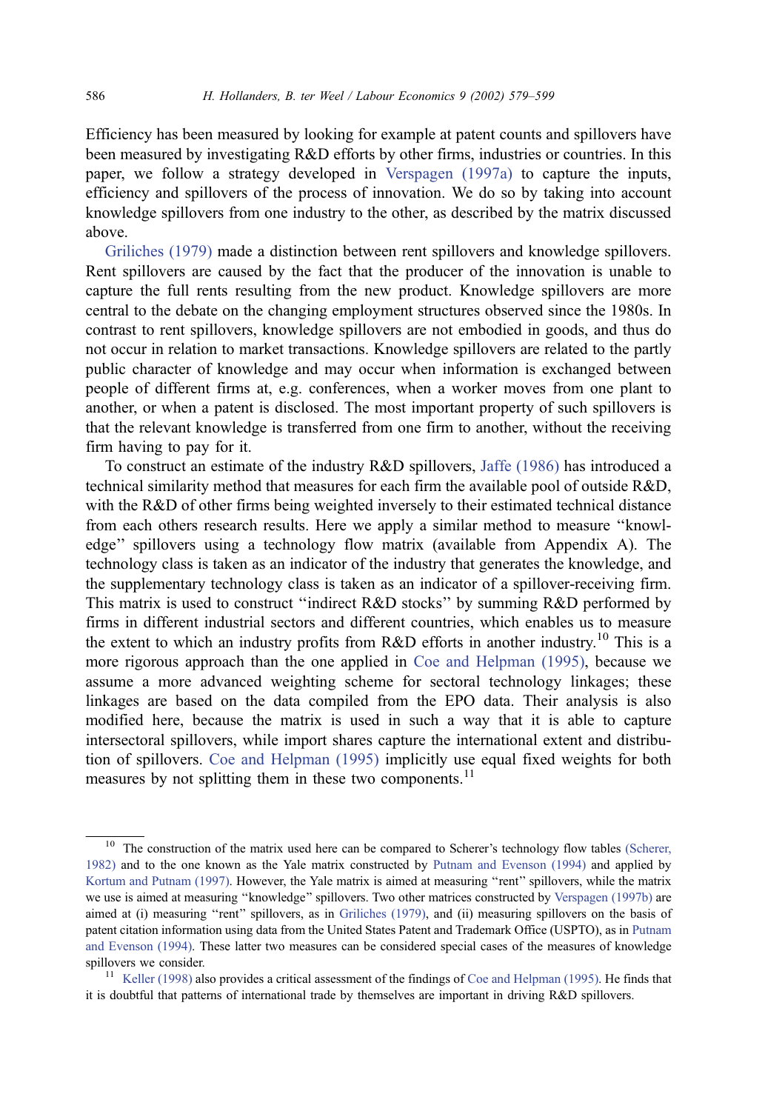Efficiency has been measured by looking for example at patent counts and spillovers have been measured by investigating R&D efforts by other firms, industries or countries. In this paper, we follow a strategy developed in [Verspagen \(1997a\)](#page-21-0) to capture the inputs, efficiency and spillovers of the process of innovation. We do so by taking into account knowledge spillovers from one industry to the other, as described by the matrix discussed above.

[Griliches \(1979\)](#page-21-0) made a distinction between rent spillovers and knowledge spillovers. Rent spillovers are caused by the fact that the producer of the innovation is unable to capture the full rents resulting from the new product. Knowledge spillovers are more central to the debate on the changing employment structures observed since the 1980s. In contrast to rent spillovers, knowledge spillovers are not embodied in goods, and thus do not occur in relation to market transactions. Knowledge spillovers are related to the partly public character of knowledge and may occur when information is exchanged between people of different firms at, e.g. conferences, when a worker moves from one plant to another, or when a patent is disclosed. The most important property of such spillovers is that the relevant knowledge is transferred from one firm to another, without the receiving firm having to pay for it.

To construct an estimate of the industry R&D spillovers, [Jaffe \(1986\)](#page-21-0) has introduced a technical similarity method that measures for each firm the available pool of outside R&D, with the R&D of other firms being weighted inversely to their estimated technical distance from each others research results. Here we apply a similar method to measure ''knowledge'' spillovers using a technology flow matrix (available from Appendix A). The technology class is taken as an indicator of the industry that generates the knowledge, and the supplementary technology class is taken as an indicator of a spillover-receiving firm. This matrix is used to construct ''indirect R&D stocks'' by summing R&D performed by firms in different industrial sectors and different countries, which enables us to measure the extent to which an industry profits from R&D efforts in another industry.<sup>10</sup> This is a more rigorous approach than the one applied in [Coe and Helpman \(1995\),](#page-20-0) because we assume a more advanced weighting scheme for sectoral technology linkages; these linkages are based on the data compiled from the EPO data. Their analysis is also modified here, because the matrix is used in such a way that it is able to capture intersectoral spillovers, while import shares capture the international extent and distribution of spillovers. [Coe and Helpman \(1995\)](#page-20-0) implicitly use equal fixed weights for both measures by not splitting them in these two components.<sup>11</sup>

<sup>&</sup>lt;sup>10</sup> The construction of the matrix used here can be compared to Scherer's technology flow tables [\(Scherer,](#page-21-0) 1982) and to the one known as the Yale matrix constructed by [Putnam and Evenson \(1994\)](#page-21-0) and applied by [Kortum and Putnam \(1997\).](#page-21-0) However, the Yale matrix is aimed at measuring ''rent'' spillovers, while the matrix we use is aimed at measuring "knowledge" spillovers. Two other matrices constructed by [Verspagen \(1997b\)](#page-21-0) are aimed at (i) measuring "rent" spillovers, as in [Griliches \(1979\),](#page-21-0) and (ii) measuring spillovers on the basis of patent citation information using data from the United States Patent and Trademark Office (USPTO), as in [Putnam](#page-21-0) and Evenson (1994). These latter two measures can be considered special cases of the measures of knowledge spillovers we consider.

<sup>&</sup>lt;sup>11</sup> [Keller \(1998\)](#page-21-0) also provides a critical assessment of the findings of [Coe and Helpman \(1995\).](#page-20-0) He finds that it is doubtful that patterns of international trade by themselves are important in driving R&D spillovers.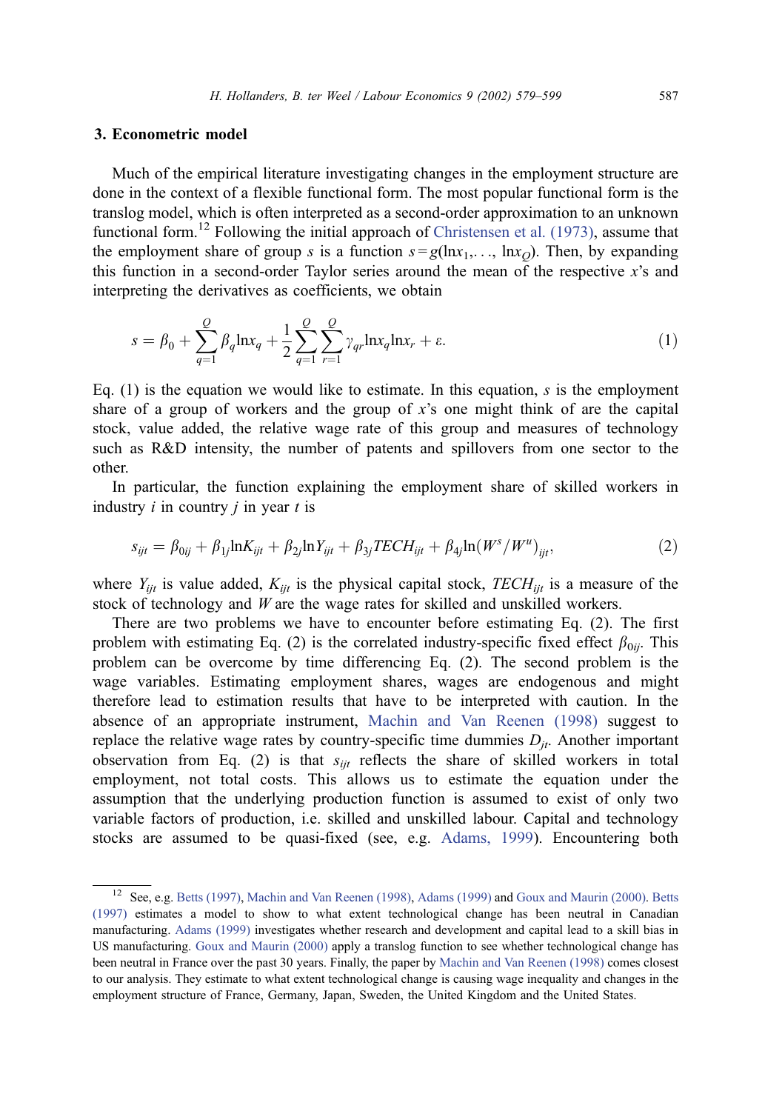### 3. Econometric model

Much of the empirical literature investigating changes in the employment structure are done in the context of a flexible functional form. The most popular functional form is the translog model, which is often interpreted as a second-order approximation to an unknown functional form.<sup>12</sup> Following the initial approach of Christensen et al.  $(1973)$ , assume that the employment share of group s is a function  $s = g(\ln x_1, \ldots, \ln x_0)$ . Then, by expanding this function in a second-order Taylor series around the mean of the respective x's and interpreting the derivatives as coefficients, we obtain

$$
s = \beta_0 + \sum_{q=1}^{Q} \beta_q \ln x_q + \frac{1}{2} \sum_{q=1}^{Q} \sum_{r=1}^{Q} \gamma_{qr} \ln x_q \ln x_r + \varepsilon.
$$
 (1)

Eq.  $(1)$  is the equation we would like to estimate. In this equation, s is the employment share of a group of workers and the group of  $x$ 's one might think of are the capital stock, value added, the relative wage rate of this group and measures of technology such as R&D intensity, the number of patents and spillovers from one sector to the other.

In particular, the function explaining the employment share of skilled workers in industry  $i$  in country  $j$  in year  $t$  is

$$
s_{ijt} = \beta_{0ij} + \beta_{1j} \ln K_{ijt} + \beta_{2j} \ln Y_{ijt} + \beta_{3j} TECH_{ijt} + \beta_{4j} \ln (W^s / W^u)_{ijt},
$$
\n(2)

where  $Y_{ijt}$  is value added,  $K_{ijt}$  is the physical capital stock,  $TECH_{ijt}$  is a measure of the stock of technology and *W* are the wage rates for skilled and unskilled workers.

There are two problems we have to encounter before estimating Eq. (2). The first problem with estimating Eq. (2) is the correlated industry-specific fixed effect  $\beta_{0ii}$ . This problem can be overcome by time differencing Eq. (2). The second problem is the wage variables. Estimating employment shares, wages are endogenous and might therefore lead to estimation results that have to be interpreted with caution. In the absence of an appropriate instrument, [Machin and Van Reenen \(1998\)](#page-21-0) suggest to replace the relative wage rates by country-specific time dummies  $D_{it}$ . Another important observation from Eq. (2) is that  $s_{ijt}$  reflects the share of skilled workers in total employment, not total costs. This allows us to estimate the equation under the assumption that the underlying production function is assumed to exist of only two variable factors of production, i.e. skilled and unskilled labour. Capital and technology stocks are assumed to be quasi-fixed (see, e.g. [Adams, 1999\)](#page-20-0). Encountering both

<sup>&</sup>lt;sup>12</sup> See, e.g. [Betts \(1997\),](#page-20-0) [Machin and Van Reenen \(1998\),](#page-21-0) [Adams \(1999\)](#page-20-0) and [Goux and Maurin \(2000\).](#page-20-0) [Betts](#page-20-0) (1997) estimates a model to show to what extent technological change has been neutral in Canadian manufacturing. [Adams \(1999\)](#page-20-0) investigates whether research and development and capital lead to a skill bias in US manufacturing. [Goux and Maurin \(2000\)](#page-20-0) apply a translog function to see whether technological change has been neutral in France over the past 30 years. Finally, the paper by [Machin and Van Reenen \(1998\)](#page-21-0) comes closest to our analysis. They estimate to what extent technological change is causing wage inequality and changes in the employment structure of France, Germany, Japan, Sweden, the United Kingdom and the United States.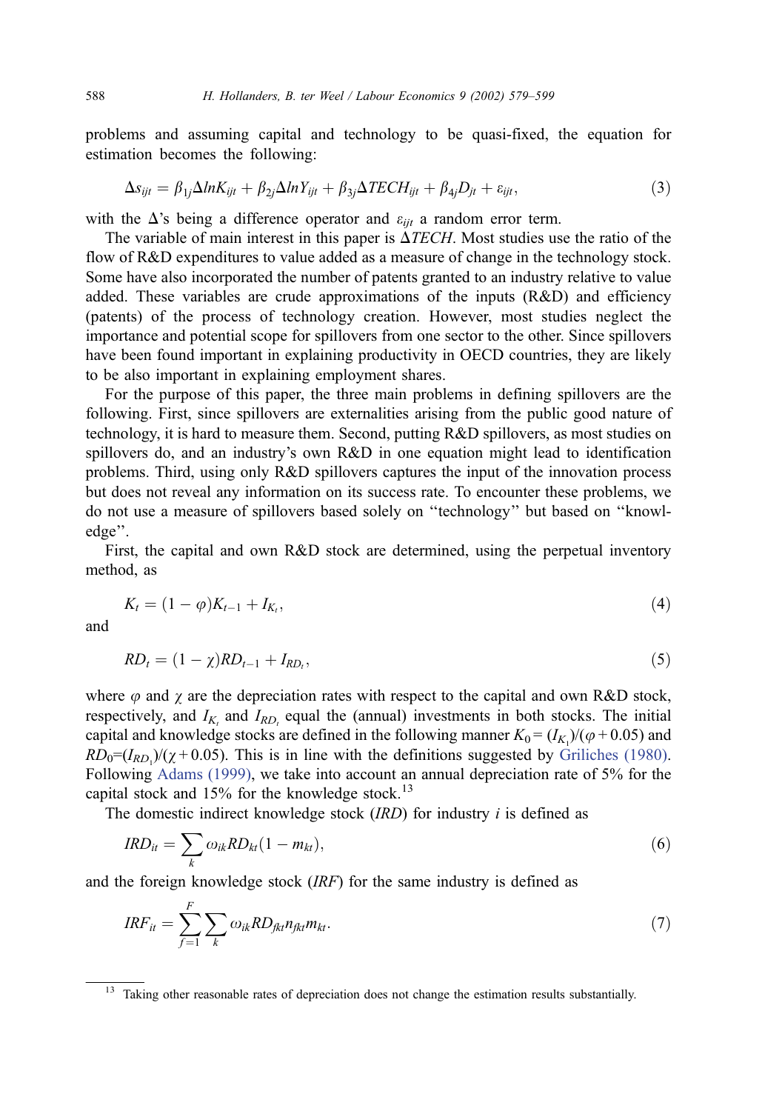problems and assuming capital and technology to be quasi-fixed, the equation for estimation becomes the following:

$$
\Delta s_{ijt} = \beta_{1j} \Delta ln K_{ijt} + \beta_{2j} \Delta ln Y_{ijt} + \beta_{3j} \Delta TECH_{ijt} + \beta_{4j} D_{jt} + \varepsilon_{ijt},\tag{3}
$$

with the  $\Delta$ 's being a difference operator and  $\varepsilon_{iit}$  a random error term.

The variable of main interest in this paper is  $\Delta TECH$ . Most studies use the ratio of the flow of R&D expenditures to value added as a measure of change in the technology stock. Some have also incorporated the number of patents granted to an industry relative to value added. These variables are crude approximations of the inputs  $(R&D)$  and efficiency (patents) of the process of technology creation. However, most studies neglect the importance and potential scope for spillovers from one sector to the other. Since spillovers have been found important in explaining productivity in OECD countries, they are likely to be also important in explaining employment shares.

For the purpose of this paper, the three main problems in defining spillovers are the following. First, since spillovers are externalities arising from the public good nature of technology, it is hard to measure them. Second, putting R&D spillovers, as most studies on spillovers do, and an industry's own R&D in one equation might lead to identification problems. Third, using only R&D spillovers captures the input of the innovation process but does not reveal any information on its success rate. To encounter these problems, we do not use a measure of spillovers based solely on ''technology'' but based on ''knowledge''.

First, the capital and own R&D stock are determined, using the perpetual inventory method, as

$$
K_t = (1 - \varphi)K_{t-1} + I_{K_t},\tag{4}
$$

and

$$
RD_t = (1 - \chi)RD_{t-1} + I_{RD_t},\tag{5}
$$

where  $\varphi$  and  $\chi$  are the depreciation rates with respect to the capital and own R&D stock, respectively, and  $I_{K}$  and  $I_{RD}$  equal the (annual) investments in both stocks. The initial capital and knowledge stocks are defined in the following manner  $K_0 = (I_{K_1})/(\varphi + 0.05)$  and  $RD_0=(I_{RD_1})/(\chi+0.05)$ . This is in line with the definitions suggested by [Griliches \(1980\).](#page-21-0) Following [Adams \(1999\),](#page-20-0) we take into account an annual depreciation rate of 5% for the capital stock and 15% for the knowledge stock.<sup>13</sup>

The domestic indirect knowledge stock  $(IRD)$  for industry *i* is defined as

$$
IRD_{it} = \sum_{k} \omega_{ik} RD_{kt} (1 - m_{kt}), \qquad (6)
$$

and the foreign knowledge stock (IRF) for the same industry is defined as

$$
IRF_{it} = \sum_{f=1}^{F} \sum_{k} \omega_{ik} RD_{jkt} n_{jkt} m_{kt}.
$$
\n(7)

<sup>&</sup>lt;sup>13</sup> Taking other reasonable rates of depreciation does not change the estimation results substantially.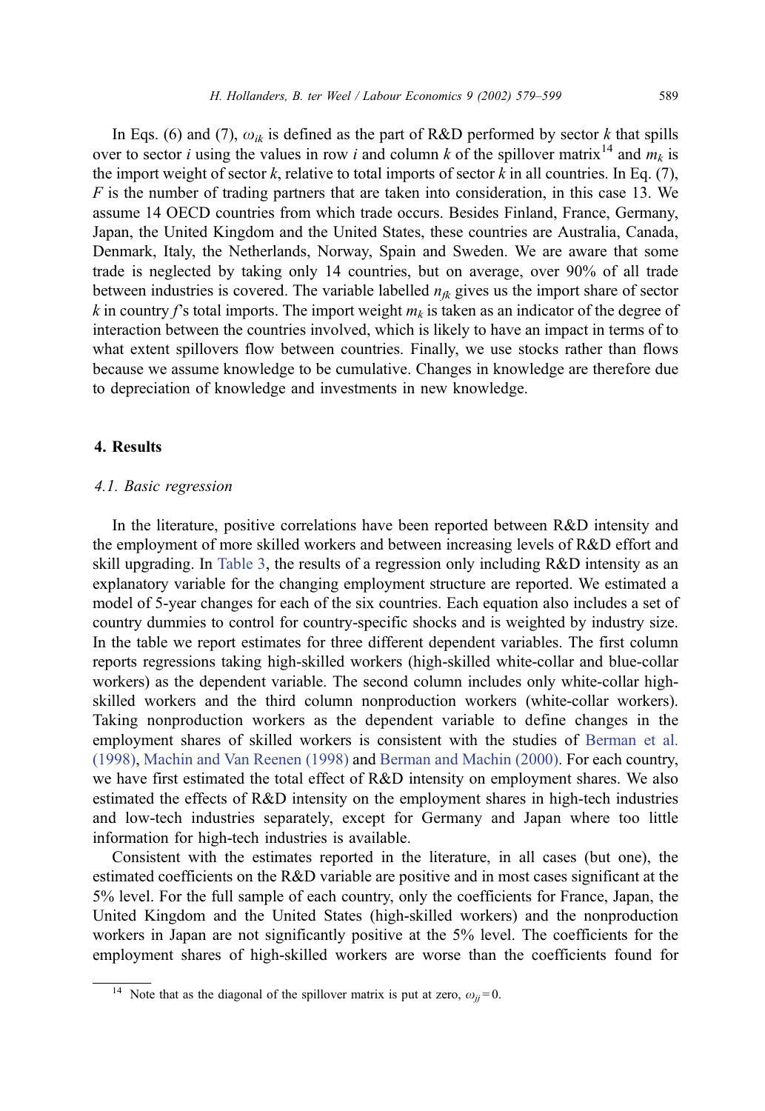In Eqs. (6) and (7),  $\omega_{ik}$  is defined as the part of R&D performed by sector k that spills over to sector *i* using the values in row *i* and column *k* of the spillover matrix<sup>14</sup> and  $m_k$  is the import weight of sector k, relative to total imports of sector k in all countries. In Eq.  $(7)$ ,  $F$  is the number of trading partners that are taken into consideration, in this case 13. We assume 14 OECD countries from which trade occurs. Besides Finland, France, Germany, Japan, the United Kingdom and the United States, these countries are Australia, Canada, Denmark, Italy, the Netherlands, Norway, Spain and Sweden. We are aware that some trade is neglected by taking only 14 countries, but on average, over 90% of all trade between industries is covered. The variable labelled  $n_{ik}$  gives us the import share of sector k in country f's total imports. The import weight  $m_k$  is taken as an indicator of the degree of interaction between the countries involved, which is likely to have an impact in terms of to what extent spillovers flow between countries. Finally, we use stocks rather than flows because we assume knowledge to be cumulative. Changes in knowledge are therefore due to depreciation of knowledge and investments in new knowledge.

#### 4. Results

#### 4.1. Basic regression

In the literature, positive correlations have been reported between R&D intensity and the employment of more skilled workers and between increasing levels of R&D effort and skill upgrading. In [Table 3,](#page-12-0) the results of a regression only including R&D intensity as an explanatory variable for the changing employment structure are reported. We estimated a model of 5-year changes for each of the six countries. Each equation also includes a set of country dummies to control for country-specific shocks and is weighted by industry size. In the table we report estimates for three different dependent variables. The first column reports regressions taking high-skilled workers (high-skilled white-collar and blue-collar workers) as the dependent variable. The second column includes only white-collar highskilled workers and the third column nonproduction workers (white-collar workers). Taking nonproduction workers as the dependent variable to define changes in the employment shares of skilled workers is consistent with the studies of [Berman et al.](#page-20-0) (1998), [Machin and Van Reenen \(1998\)](#page-21-0) and [Berman and Machin \(2000\).](#page-20-0) For each country, we have first estimated the total effect of R&D intensity on employment shares. We also estimated the effects of R&D intensity on the employment shares in high-tech industries and low-tech industries separately, except for Germany and Japan where too little information for high-tech industries is available.

Consistent with the estimates reported in the literature, in all cases (but one), the estimated coefficients on the R&D variable are positive and in most cases significant at the 5% level. For the full sample of each country, only the coefficients for France, Japan, the United Kingdom and the United States (high-skilled workers) and the nonproduction workers in Japan are not significantly positive at the 5% level. The coefficients for the employment shares of high-skilled workers are worse than the coefficients found for

<sup>&</sup>lt;sup>14</sup> Note that as the diagonal of the spillover matrix is put at zero,  $\omega_{jj} = 0$ .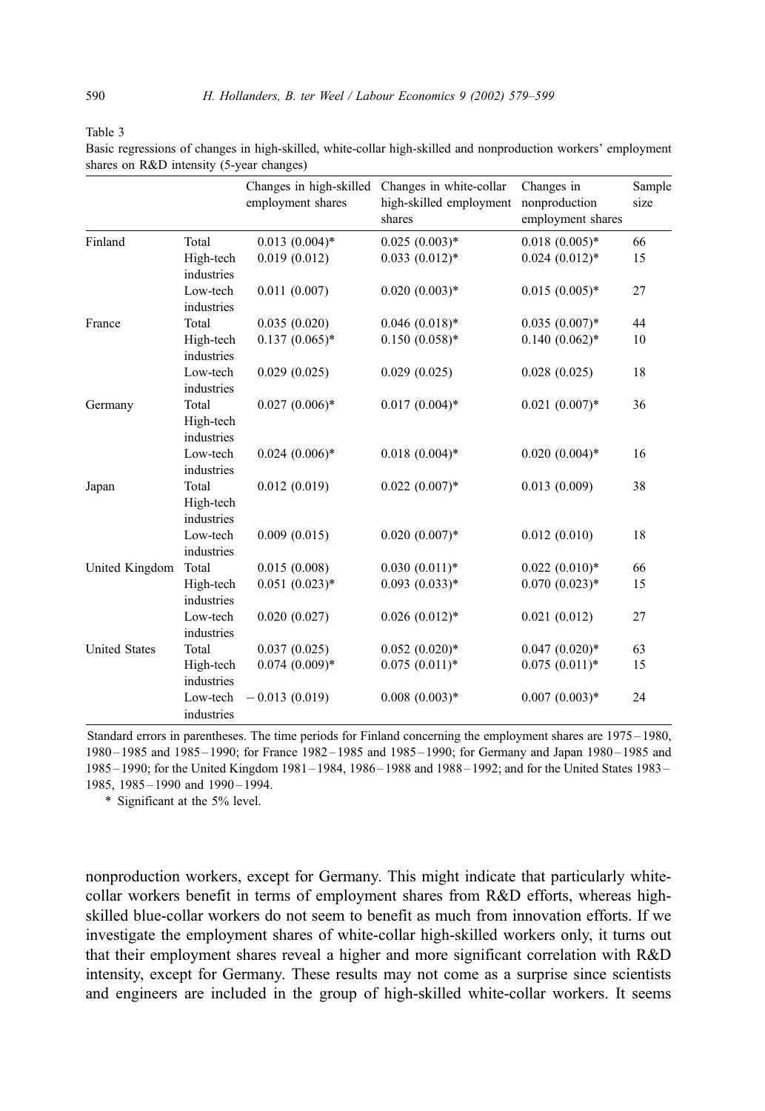Table 3

Basic regressions of changes in high-skilled, white-collar high-skilled and nonproduction workers' employment shares on R&D intensity (5-year changes)

|                      |                         | Changes in high-skilled<br>employment shares | Changes in white-collar<br>high-skilled employment<br>shares | Changes in<br>nonproduction<br>employment shares | Sample<br>size |
|----------------------|-------------------------|----------------------------------------------|--------------------------------------------------------------|--------------------------------------------------|----------------|
| Finland              | Total                   | $0.013(0.004)$ *                             | $0.025(0.003)*$                                              | $0.018(0.005)*$                                  | 66             |
|                      | High-tech<br>industries | 0.019(0.012)                                 | $0.033$ $(0.012)*$                                           | $0.024~(0.012)*$                                 | 15             |
|                      | Low-tech<br>industries  | 0.011(0.007)                                 | $0.020(0.003)*$                                              | $0.015(0.005)^*$                                 | 27             |
| France               | Total                   | 0.035(0.020)                                 | $0.046$ $(0.018)*$                                           | $0.035(0.007)$ *                                 | 44             |
|                      | High-tech<br>industries | $0.137(0.065)*$                              | $0.150(0.058)*$                                              | $0.140~(0.062)*$                                 | 10             |
|                      | Low-tech<br>industries  | 0.029(0.025)                                 | 0.029(0.025)                                                 | 0.028(0.025)                                     | 18             |
| Germany              | Total<br>High-tech      | $0.027(0.006)*$                              | $0.017(0.004)*$                                              | $0.021(0.007)$ *                                 | 36             |
|                      | industries              |                                              |                                                              |                                                  |                |
|                      | Low-tech<br>industries  | $0.024~(0.006)*$                             | $0.018(0.004)*$                                              | $0.020(0.004)$ *                                 | 16             |
| Japan                | Total<br>High-tech      | 0.012(0.019)                                 | $0.022$ $(0.007)*$                                           | 0.013(0.009)                                     | 38             |
|                      | industries              |                                              |                                                              |                                                  |                |
|                      | Low-tech<br>industries  | 0.009(0.015)                                 | $0.020(0.007)*$                                              | 0.012(0.010)                                     | 18             |
| United Kingdom       | Total                   | 0.015(0.008)                                 | $0.030(0.011)*$                                              | $0.022(0.010)*$                                  | 66             |
|                      | High-tech<br>industries | $0.051(0.023)*$                              | $0.093(0.033)*$                                              | $0.070(0.023)*$                                  | 15             |
|                      | Low-tech<br>industries  | 0.020(0.027)                                 | $0.026(0.012)*$                                              | 0.021(0.012)                                     | 27             |
| <b>United States</b> | Total                   | 0.037(0.025)                                 | $0.052(0.020)*$                                              | $0.047(0.020)*$                                  | 63             |
|                      | High-tech<br>industries | $0.074~(0.009)*$                             | $0.075(0.011)*$                                              | $0.075(0.011)*$                                  | 15             |
|                      | Low-tech<br>industries  | $-0.013(0.019)$                              | $0.008(0.003)*$                                              | $0.007(0.003)*$                                  | 24             |

Standard errors in parentheses. The time periods for Finland concerning the employment shares are 1975 – 1980, 1980 – 1985 and 1985 – 1990; for France 1982 – 1985 and 1985 – 1990; for Germany and Japan 1980 – 1985 and 1985 – 1990; for the United Kingdom 1981 – 1984, 1986 – 1988 and 1988 – 1992; and for the United States 1983 – 1985, 1985-1990 and 1990-1994.

\* Significant at the 5% level.

nonproduction workers, except for Germany. This might indicate that particularly whitecollar workers benefit in terms of employment shares from R&D efforts, whereas highskilled blue-collar workers do not seem to benefit as much from innovation efforts. If we investigate the employment shares of white-collar high-skilled workers only, it turns out that their employment shares reveal a higher and more significant correlation with R&D intensity, except for Germany. These results may not come as a surprise since scientists and engineers are included in the group of high-skilled white-collar workers. It seems

<span id="page-12-0"></span>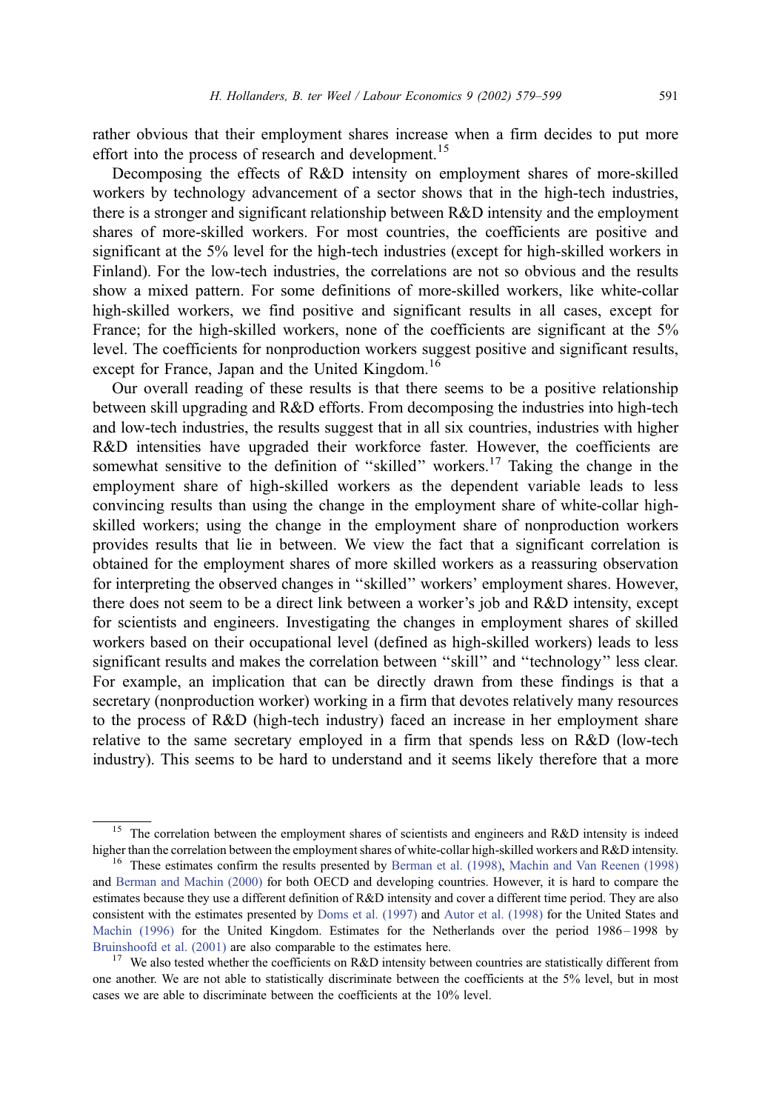rather obvious that their employment shares increase when a firm decides to put more effort into the process of research and development.<sup>15</sup>

Decomposing the effects of R&D intensity on employment shares of more-skilled workers by technology advancement of a sector shows that in the high-tech industries, there is a stronger and significant relationship between R&D intensity and the employment shares of more-skilled workers. For most countries, the coefficients are positive and significant at the 5% level for the high-tech industries (except for high-skilled workers in Finland). For the low-tech industries, the correlations are not so obvious and the results show a mixed pattern. For some definitions of more-skilled workers, like white-collar high-skilled workers, we find positive and significant results in all cases, except for France; for the high-skilled workers, none of the coefficients are significant at the 5% level. The coefficients for nonproduction workers suggest positive and significant results, except for France, Japan and the United Kingdom.<sup>16</sup>

Our overall reading of these results is that there seems to be a positive relationship between skill upgrading and R&D efforts. From decomposing the industries into high-tech and low-tech industries, the results suggest that in all six countries, industries with higher R&D intensities have upgraded their workforce faster. However, the coefficients are somewhat sensitive to the definition of ''skilled'' workers.<sup>17</sup> Taking the change in the employment share of high-skilled workers as the dependent variable leads to less convincing results than using the change in the employment share of white-collar highskilled workers; using the change in the employment share of nonproduction workers provides results that lie in between. We view the fact that a significant correlation is obtained for the employment shares of more skilled workers as a reassuring observation for interpreting the observed changes in ''skilled'' workers' employment shares. However, there does not seem to be a direct link between a worker's job and R&D intensity, except for scientists and engineers. Investigating the changes in employment shares of skilled workers based on their occupational level (defined as high-skilled workers) leads to less significant results and makes the correlation between ''skill'' and ''technology'' less clear. For example, an implication that can be directly drawn from these findings is that a secretary (nonproduction worker) working in a firm that devotes relatively many resources to the process of R&D (high-tech industry) faced an increase in her employment share relative to the same secretary employed in a firm that spends less on R&D (low-tech industry). This seems to be hard to understand and it seems likely therefore that a more

<sup>&</sup>lt;sup>15</sup> The correlation between the employment shares of scientists and engineers and R&D intensity is indeed higher than the correlation between the employment shares of white-collar high-skilled workers and R&D intensity. <sup>16</sup> These estimates confirm the results presented by [Berman et al. \(1998\),](#page-20-0) [Machin and Van Reenen \(1998\)](#page-21-0)

and [Berman and Machin \(2000\)](#page-20-0) for both OECD and developing countries. However, it is hard to compare the estimates because they use a different definition of R&D intensity and cover a different time period. They are also consistent with the estimates presented by [Doms et al. \(1997\)](#page-20-0) and [Autor et al. \(1998\)](#page-20-0) for the United States and [Machin \(1996\)](#page-21-0) for the United Kingdom. Estimates for the Netherlands over the period 1986–1998 by [Bruinshoofd et al. \(2001\)](#page-20-0) are also comparable to the estimates here.<br><sup>17</sup> We also tested whether the coefficients on R&D intensity between countries are statistically different from

one another. We are not able to statistically discriminate between the coefficients at the 5% level, but in most cases we are able to discriminate between the coefficients at the 10% level.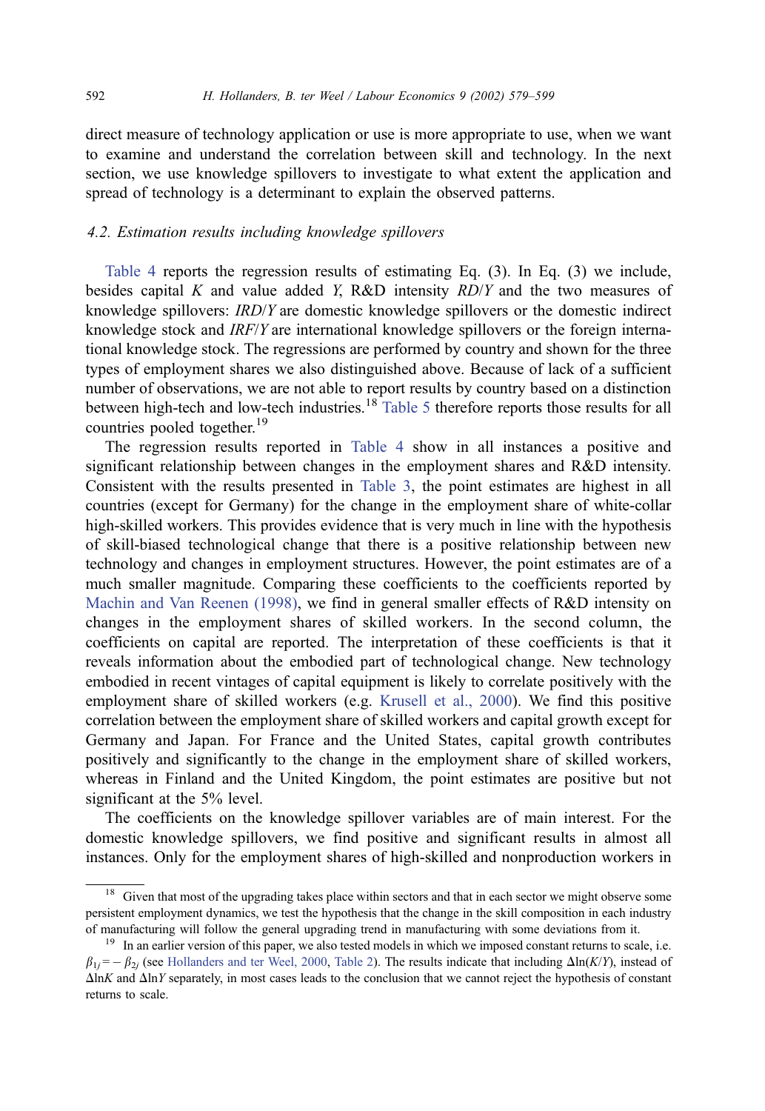direct measure of technology application or use is more appropriate to use, when we want to examine and understand the correlation between skill and technology. In the next section, we use knowledge spillovers to investigate to what extent the application and spread of technology is a determinant to explain the observed patterns.

#### 4.2. Estimation results including knowledge spillovers

[Table 4](#page-15-0) reports the regression results of estimating Eq. (3). In Eq. (3) we include, besides capital K and value added Y, R&D intensity  $RD/Y$  and the two measures of knowledge spillovers: IRD/Y are domestic knowledge spillovers or the domestic indirect knowledge stock and  $IRF/Y$  are international knowledge spillovers or the foreign international knowledge stock. The regressions are performed by country and shown for the three types of employment shares we also distinguished above. Because of lack of a sufficient number of observations, we are not able to report results by country based on a distinction between high-tech and low-tech industries.<sup>18</sup> [Table 5](#page-16-0) therefore reports those results for all countries pooled together.<sup>19</sup>

The regression results reported in [Table 4](#page-15-0) show in all instances a positive and significant relationship between changes in the employment shares and R&D intensity. Consistent with the results presented in [Table 3,](#page-12-0) the point estimates are highest in all countries (except for Germany) for the change in the employment share of white-collar high-skilled workers. This provides evidence that is very much in line with the hypothesis of skill-biased technological change that there is a positive relationship between new technology and changes in employment structures. However, the point estimates are of a much smaller magnitude. Comparing these coefficients to the coefficients reported by [Machin and Van Reenen \(1998\),](#page-21-0) we find in general smaller effects of R&D intensity on changes in the employment shares of skilled workers. In the second column, the coefficients on capital are reported. The interpretation of these coefficients is that it reveals information about the embodied part of technological change. New technology embodied in recent vintages of capital equipment is likely to correlate positively with the employment share of skilled workers (e.g. [Krusell et al., 2000\)](#page-21-0). We find this positive correlation between the employment share of skilled workers and capital growth except for Germany and Japan. For France and the United States, capital growth contributes positively and significantly to the change in the employment share of skilled workers, whereas in Finland and the United Kingdom, the point estimates are positive but not significant at the 5% level.

The coefficients on the knowledge spillover variables are of main interest. For the domestic knowledge spillovers, we find positive and significant results in almost all instances. Only for the employment shares of high-skilled and nonproduction workers in

<sup>&</sup>lt;sup>18</sup> Given that most of the upgrading takes place within sectors and that in each sector we might observe some persistent employment dynamics, we test the hypothesis that the change in the skill composition in each industry of manufacturing will follow the general upgrading trend in manufacturing with some deviations from it.

<sup>&</sup>lt;sup>19</sup> In an earlier version of this paper, we also tested models in which we imposed constant returns to scale, i.e.  $\beta_{1i} = -\beta_{2i}$  (see [Hollanders and ter Weel, 2000,](#page-21-0) [Table 2\)](#page-7-0). The results indicate that including  $\Delta \ln(K/Y)$ , instead of  $\Delta$ lnK and  $\Delta$ lnY separately, in most cases leads to the conclusion that we cannot reject the hypothesis of constant returns to scale.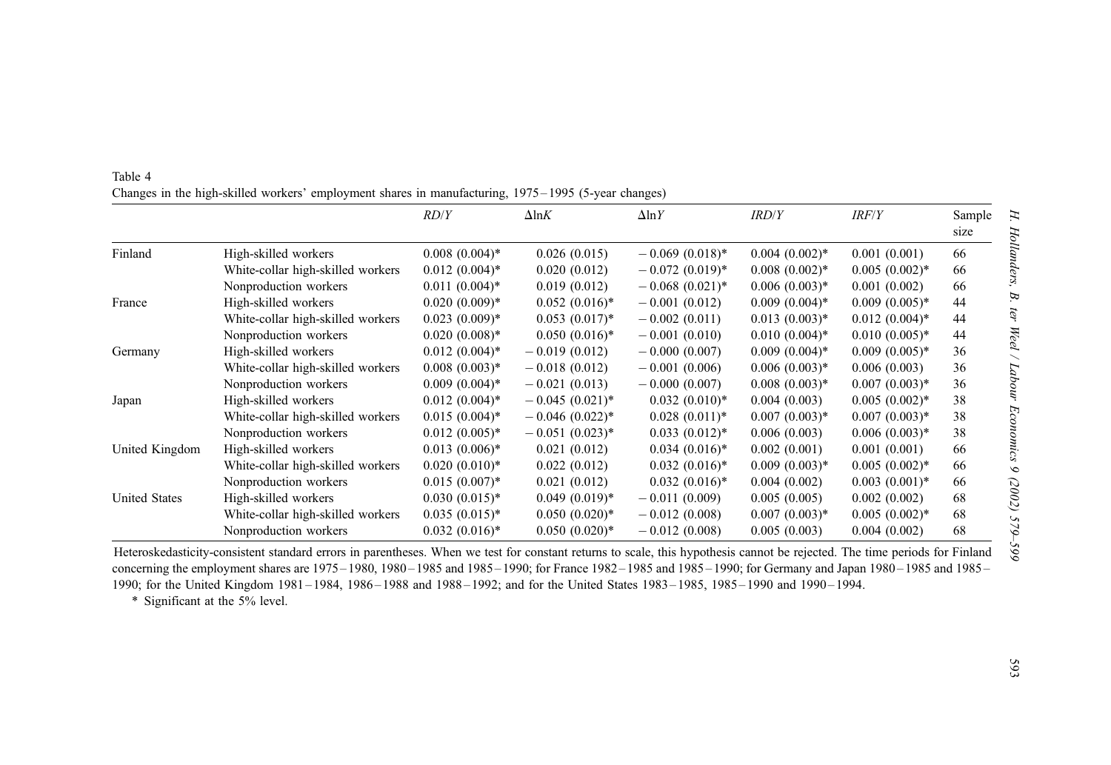|                      |                                   | RD/Y             | $\Delta$ ln $K$     | $\Delta$ ln $Y$   | <i>IRD</i> / <i>Y</i> | IRF/Y            | Sample<br>size |
|----------------------|-----------------------------------|------------------|---------------------|-------------------|-----------------------|------------------|----------------|
| Finland              | High-skilled workers              | $0.008(0.004)$ * | 0.026(0.015)        | $-0.069(0.018)^*$ | $0.004(0.002)*$       | 0.001(0.001)     | 66             |
|                      | White-collar high-skilled workers | $0.012(0.004)^*$ | 0.020(0.012)        | $-0.072(0.019)^*$ | $0.008(0.002)$ *      | $0.005(0.002)*$  | 66             |
|                      | Nonproduction workers             | $0.011(0.004)$ * | 0.019(0.012)        | $-0.068(0.021)^*$ | $0.006(0.003)*$       | 0.001(0.002)     | 66             |
| France               | High-skilled workers              | $0.020(0.009)*$  | $0.052(0.016)^*$    | $-0.001(0.012)$   | $0.009(0.004)$ *      | $0.009(0.005)^*$ | 44             |
|                      | White-collar high-skilled workers | $0.023(0.009)*$  | $0.053(0.017)^*$    | $-0.002(0.011)$   | $0.013(0.003)*$       | $0.012(0.004)*$  | 44             |
|                      | Nonproduction workers             | $0.020(0.008)*$  | $0.050(0.016)^*$    | $-0.001(0.010)$   | $0.010(0.004)$ *      | $0.010(0.005)*$  | 44             |
| Germany              | High-skilled workers              | $0.012(0.004)^*$ | $-0.019(0.012)$     | $-0.000(0.007)$   | $0.009(0.004)$ *      | $0.009(0.005)*$  | 36             |
|                      | White-collar high-skilled workers | $0.008(0.003)*$  | $-0.018(0.012)$     | $-0.001(0.006)$   | $0.006(0.003)*$       | 0.006(0.003)     | 36             |
|                      | Nonproduction workers             | $0.009(0.004)$ * | $-0.021(0.013)$     | $-0.000(0.007)$   | $0.008(0.003)*$       | $0.007(0.003)*$  | 36             |
| Japan                | High-skilled workers              | $0.012(0.004)$ * | $-0.045(0.021)^{*}$ | $0.032(0.010)*$   | 0.004(0.003)          | $0.005(0.002)$ * | 38             |
|                      | White-collar high-skilled workers | $0.015(0.004)^*$ | $-0.046(0.022)$ *   | $0.028(0.011)*$   | $0.007(0.003)*$       | $0.007(0.003)*$  | 38             |
|                      | Nonproduction workers             | $0.012(0.005)^*$ | $-0.051(0.023)^{*}$ | $0.033(0.012)^*$  | 0.006(0.003)          | $0.006(0.003)*$  | 38             |
| United Kingdom       | High-skilled workers              | $0.013(0.006)*$  | 0.021(0.012)        | $0.034(0.016)*$   | 0.002(0.001)          | 0.001(0.001)     | 66             |
|                      | White-collar high-skilled workers | $0.020(0.010)*$  | 0.022(0.012)        | $0.032(0.016)$ *  | $0.009(0.003)*$       | $0.005(0.002)*$  | 66             |
|                      | Nonproduction workers             | $0.015(0.007)^*$ | 0.021(0.012)        | $0.032(0.016)$ *  | 0.004(0.002)          | $0.003(0.001)*$  | 66             |
| <b>United States</b> | High-skilled workers              | $0.030(0.015)*$  | $0.049(0.019)*$     | $-0.011(0.009)$   | 0.005(0.005)          | 0.002(0.002)     | 68             |
|                      | White-collar high-skilled workers | $0.035(0.015)^*$ | $0.050(0.020)*$     | $-0.012(0.008)$   | $0.007(0.003)*$       | $0.005(0.002)$ * | 68             |
|                      | Nonproduction workers             | $0.032(0.016)*$  | $0.050(0.020)*$     | $-0.012(0.008)$   | 0.005(0.003)          | 0.004(0.002)     | 68             |

<span id="page-15-0"></span>Table 4Changes in the high-skilled workers' employment shares in manufacturing, 1975 – 1995 (5-year changes)

Heteroskedasticity-consistent standard errors in parentheses. When we test for constant returns to scale, this hypothesis cannot be rejected. The time periods for Finland concerning the employment shares are 1975-1980, 1980-1985 and 1985-1990; for France 1982-1985 and 1985-1990; for Germany and Japan 1980-1985 and 1985-1990; for the United Kingdom 1981 – 1984, 1986 – 1988 and 1988 – 1992; and for the United States 1983 – 1985, 1985 – 1990 and 1990 – 1994.

\* Significant at the 5% level.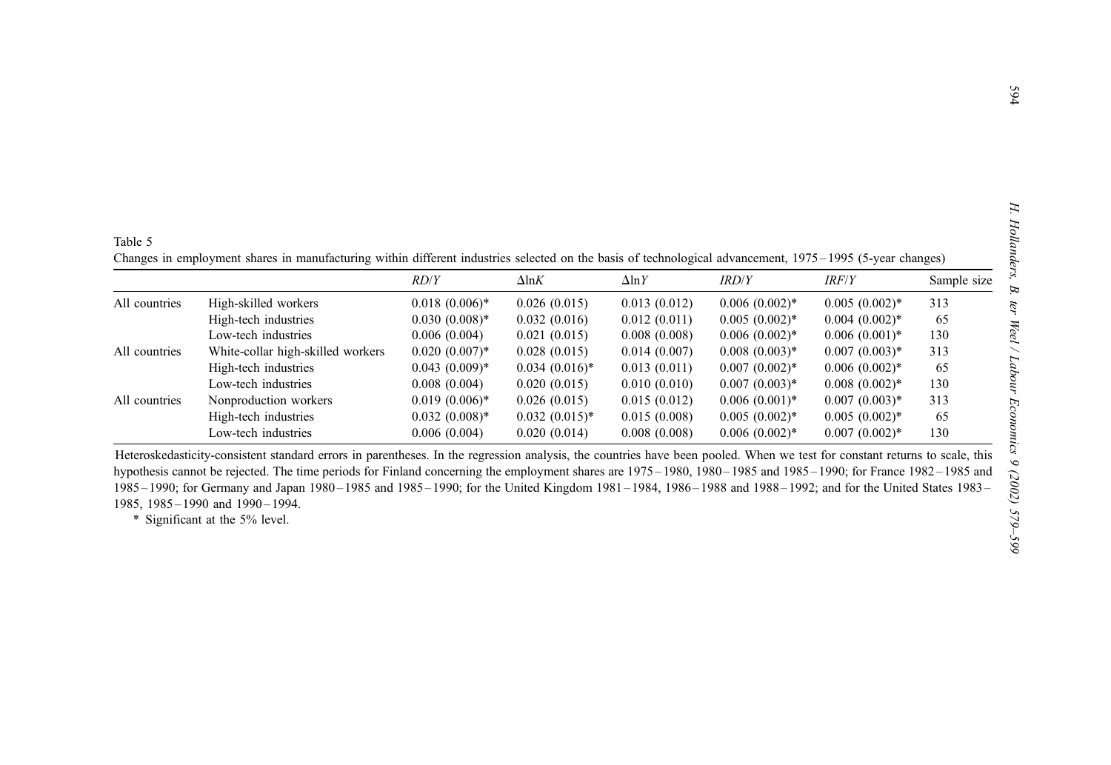<span id="page-16-0"></span>

| Table 5                                                                                                                                                  |  |
|----------------------------------------------------------------------------------------------------------------------------------------------------------|--|
| Changes in employment shares in manufacturing within different industries selected on the basis of technological advancement, 1975–1995 (5-year changes) |  |

|               |                                   | RD/Y             | $\Delta$ ln $K$  | $\Delta$ ln $Y$ | <i>IRD</i> / <i>Y</i> | <i>IRF/Y</i>     | Sample size |
|---------------|-----------------------------------|------------------|------------------|-----------------|-----------------------|------------------|-------------|
| All countries | High-skilled workers              | $0.018(0.006)*$  | 0.026(0.015)     | 0.013(0.012)    | $0.006(0.002)$ *      | $0.005(0.002)$ * | 313         |
|               | High-tech industries              | $0.030(0.008)$ * | 0.032(0.016)     | 0.012(0.011)    | $0.005(0.002)^*$      | $0.004(0.002)*$  | 65          |
|               | Low-tech industries               | 0.006(0.004)     | 0.021(0.015)     | 0.008(0.008)    | $0.006(0.002)*$       | $0.006(0.001)*$  | 130         |
| All countries | White-collar high-skilled workers | $0.020(0.007)^*$ | 0.028(0.015)     | 0.014(0.007)    | $0.008(0.003)*$       | $0.007(0.003)*$  | 313         |
|               | High-tech industries              | $0.043(0.009)*$  | $0.034(0.016)$ * | 0.013(0.011)    | $0.007(0.002)^*$      | $0.006(0.002)$ * | 65          |
|               | Low-tech industries               | 0.008(0.004)     | 0.020(0.015)     | 0.010(0.010)    | $0.007(0.003)*$       | $0.008(0.002)$ * | 130         |
| All countries | Nonproduction workers             | $0.019(0.006)^*$ | 0.026(0.015)     | 0.015(0.012)    | $0.006(0.001)^*$      | $0.007(0.003)*$  | 313         |
|               | High-tech industries              | $0.032(0.008)*$  | $0.032(0.015)^*$ | 0.015(0.008)    | $0.005(0.002)^*$      | $0.005(0.002)$ * | 65          |
|               | Low-tech industries               | 0.006(0.004)     | 0.020(0.014)     | 0.008(0.008)    | $0.006(0.002)*$       | $0.007(0.002)*$  | 130         |

Heteroskedasticity-consistent standard errors in parentheses. In the regression analysis, the countries have been pooled. When we test for constant returns to scale, this hypothesis cannot be rejected. The time periods for Finland concerning the employment shares are  $1975 - 1980$ ,  $1980 - 1985$  and  $1985 - 1990$ ; for France  $1982 - 1985$  and 1985 – 1990; for Germany and Japan 1980 – 1985 and 1985 – 1990; for the United Kingdom 1981 – 1984, 1986 – 1988 and 1988 – 1992; and for the United States 1983 – 1985, 1985-1990 and 1990-1994.

\* Significant at the 5% level.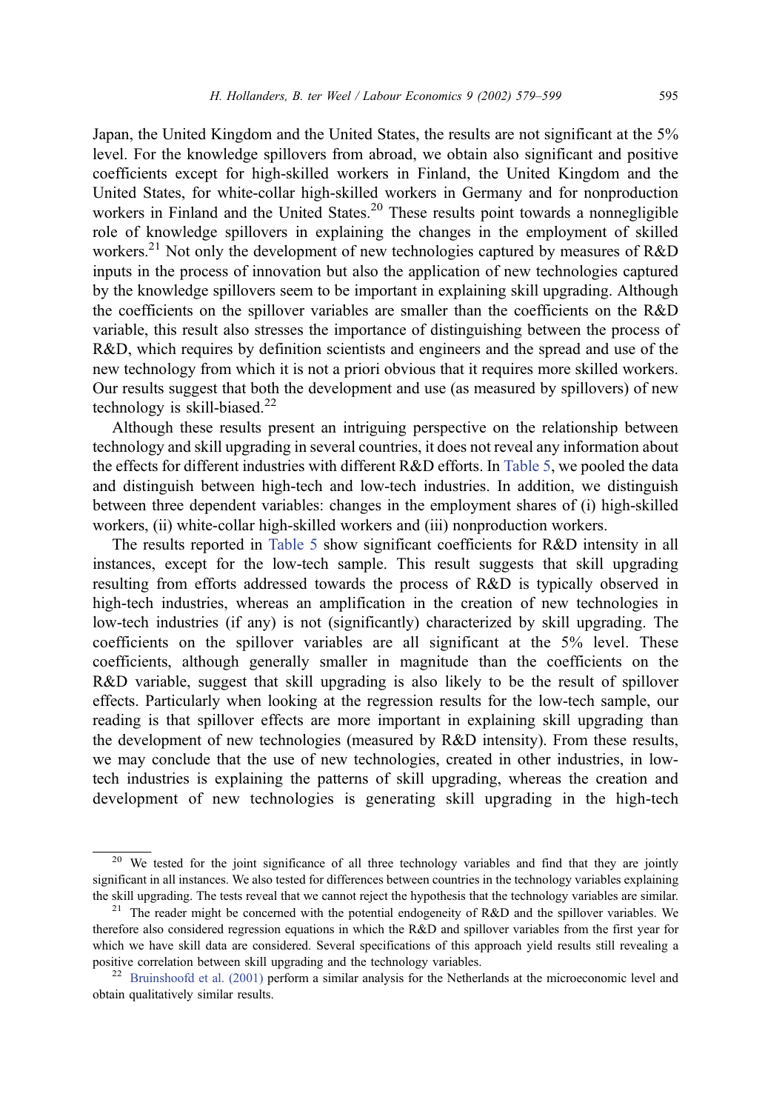Japan, the United Kingdom and the United States, the results are not significant at the 5% level. For the knowledge spillovers from abroad, we obtain also significant and positive coefficients except for high-skilled workers in Finland, the United Kingdom and the United States, for white-collar high-skilled workers in Germany and for nonproduction workers in Finland and the United States. $^{20}$  These results point towards a nonnegligible role of knowledge spillovers in explaining the changes in the employment of skilled workers.<sup>21</sup> Not only the development of new technologies captured by measures of R&D inputs in the process of innovation but also the application of new technologies captured by the knowledge spillovers seem to be important in explaining skill upgrading. Although the coefficients on the spillover variables are smaller than the coefficients on the R&D variable, this result also stresses the importance of distinguishing between the process of R&D, which requires by definition scientists and engineers and the spread and use of the new technology from which it is not a priori obvious that it requires more skilled workers. Our results suggest that both the development and use (as measured by spillovers) of new technology is skill-biased. $^{22}$ 

Although these results present an intriguing perspective on the relationship between technology and skill upgrading in several countries, it does not reveal any information about the effects for different industries with different R&D efforts. In [Table 5,](#page-16-0) we pooled the data and distinguish between high-tech and low-tech industries. In addition, we distinguish between three dependent variables: changes in the employment shares of (i) high-skilled workers, (ii) white-collar high-skilled workers and (iii) nonproduction workers.

The results reported in [Table 5](#page-16-0) show significant coefficients for R&D intensity in all instances, except for the low-tech sample. This result suggests that skill upgrading resulting from efforts addressed towards the process of R&D is typically observed in high-tech industries, whereas an amplification in the creation of new technologies in low-tech industries (if any) is not (significantly) characterized by skill upgrading. The coefficients on the spillover variables are all significant at the 5% level. These coefficients, although generally smaller in magnitude than the coefficients on the R&D variable, suggest that skill upgrading is also likely to be the result of spillover effects. Particularly when looking at the regression results for the low-tech sample, our reading is that spillover effects are more important in explaining skill upgrading than the development of new technologies (measured by R&D intensity). From these results, we may conclude that the use of new technologies, created in other industries, in lowtech industries is explaining the patterns of skill upgrading, whereas the creation and development of new technologies is generating skill upgrading in the high-tech

<sup>&</sup>lt;sup>20</sup> We tested for the joint significance of all three technology variables and find that they are jointly significant in all instances. We also tested for differences between countries in the technology variables explaining the skill upgrading. The tests reveal that we cannot reject the hypothesis that the technology variables are similar.

 $21$  The reader might be concerned with the potential endogeneity of R&D and the spillover variables. We therefore also considered regression equations in which the R&D and spillover variables from the first year for which we have skill data are considered. Several specifications of this approach yield results still revealing a positive correlation between skill upgrading and the technology variables.

 $22$  [Bruinshoofd et al. \(2001\)](#page-20-0) perform a similar analysis for the Netherlands at the microeconomic level and obtain qualitatively similar results.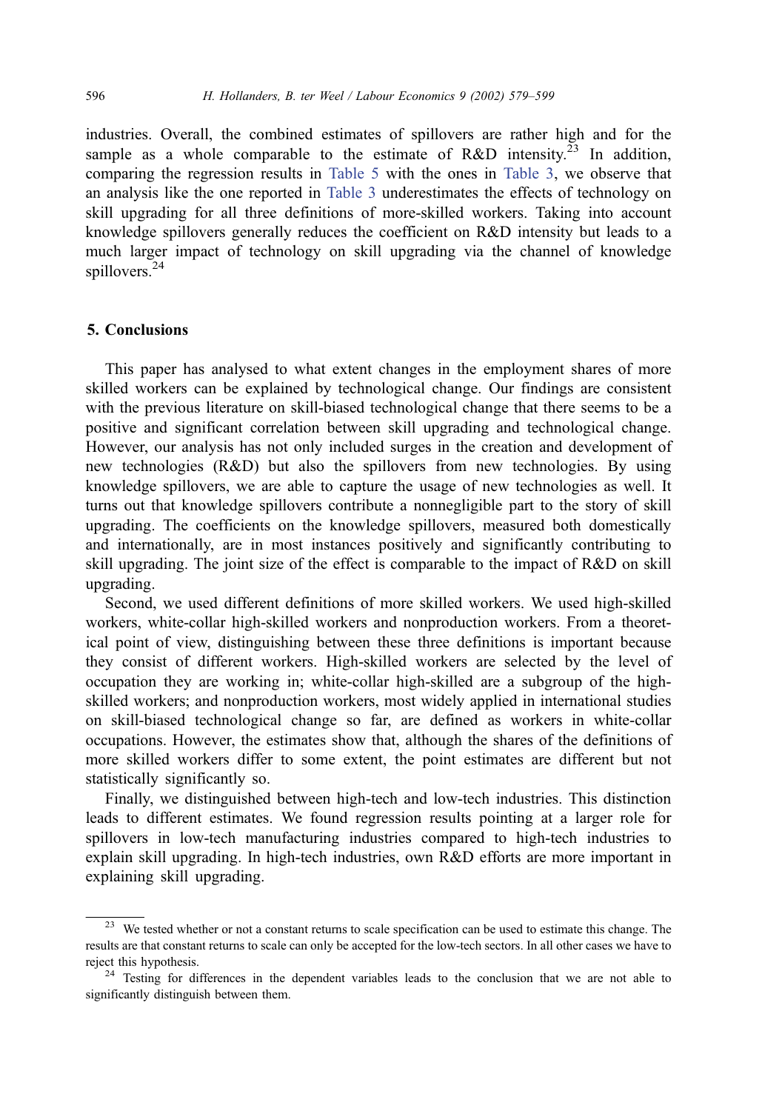industries. Overall, the combined estimates of spillovers are rather high and for the sample as a whole comparable to the estimate of  $R&D$  intensity.<sup>23</sup> In addition, comparing the regression results in [Table 5](#page-16-0) with the ones in [Table 3,](#page-12-0) we observe that an analysis like the one reported in [Table 3](#page-12-0) underestimates the effects of technology on skill upgrading for all three definitions of more-skilled workers. Taking into account knowledge spillovers generally reduces the coefficient on R&D intensity but leads to a much larger impact of technology on skill upgrading via the channel of knowledge spillovers.<sup>24</sup>

## 5. Conclusions

This paper has analysed to what extent changes in the employment shares of more skilled workers can be explained by technological change. Our findings are consistent with the previous literature on skill-biased technological change that there seems to be a positive and significant correlation between skill upgrading and technological change. However, our analysis has not only included surges in the creation and development of new technologies (R&D) but also the spillovers from new technologies. By using knowledge spillovers, we are able to capture the usage of new technologies as well. It turns out that knowledge spillovers contribute a nonnegligible part to the story of skill upgrading. The coefficients on the knowledge spillovers, measured both domestically and internationally, are in most instances positively and significantly contributing to skill upgrading. The joint size of the effect is comparable to the impact of R&D on skill upgrading.

Second, we used different definitions of more skilled workers. We used high-skilled workers, white-collar high-skilled workers and nonproduction workers. From a theoretical point of view, distinguishing between these three definitions is important because they consist of different workers. High-skilled workers are selected by the level of occupation they are working in; white-collar high-skilled are a subgroup of the highskilled workers; and nonproduction workers, most widely applied in international studies on skill-biased technological change so far, are defined as workers in white-collar occupations. However, the estimates show that, although the shares of the definitions of more skilled workers differ to some extent, the point estimates are different but not statistically significantly so.

Finally, we distinguished between high-tech and low-tech industries. This distinction leads to different estimates. We found regression results pointing at a larger role for spillovers in low-tech manufacturing industries compared to high-tech industries to explain skill upgrading. In high-tech industries, own R&D efforts are more important in explaining skill upgrading.

<sup>&</sup>lt;sup>23</sup> We tested whether or not a constant returns to scale specification can be used to estimate this change. The results are that constant returns to scale can only be accepted for the low-tech sectors. In all other cases we have to reject this hypothesis.

<sup>&</sup>lt;sup>24</sup> Testing for differences in the dependent variables leads to the conclusion that we are not able to significantly distinguish between them.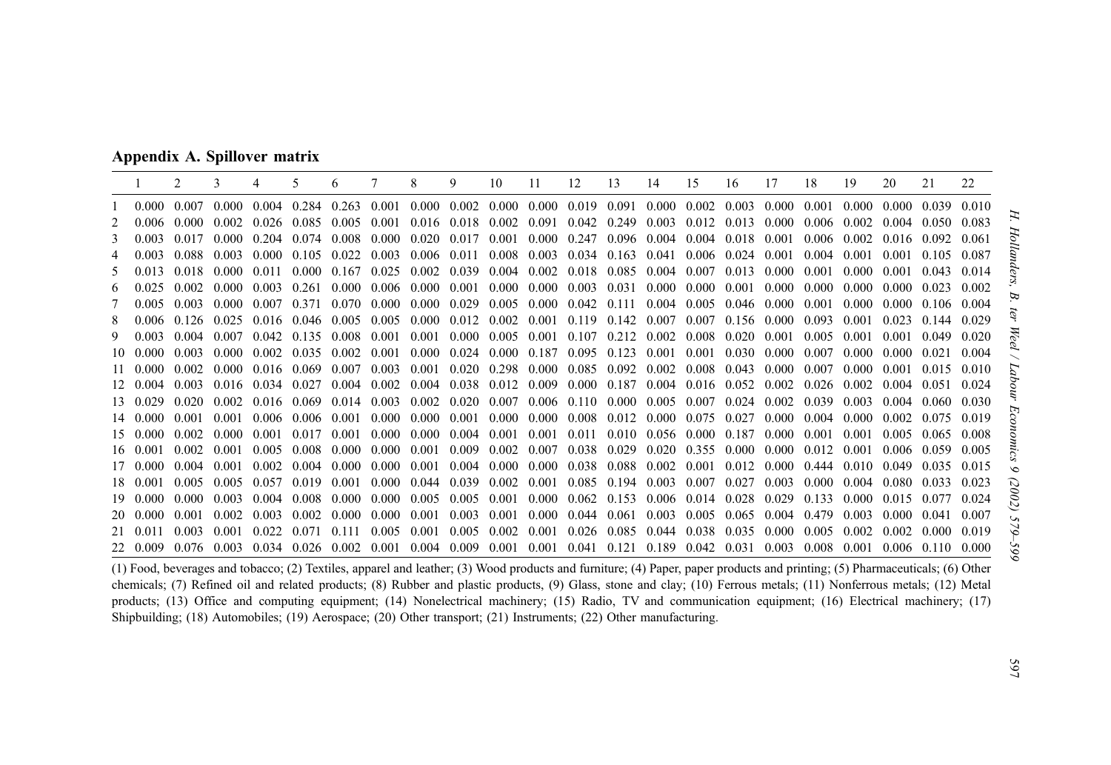Appendix A. Spillover matrix

|   |                | 2                                                  | 3 | 4 | -5 | 6 | $7\phantom{.0}$ | 8 | $\overline{9}$ | 10 | 11 12 |  | 13 14 15 | - 16 | 17 | 18 | 19 | 20 | 21                                                                                                                                                                                      | 22. |
|---|----------------|----------------------------------------------------|---|---|----|---|-----------------|---|----------------|----|-------|--|----------|------|----|----|----|----|-----------------------------------------------------------------------------------------------------------------------------------------------------------------------------------------|-----|
|   | 0.000 0.007    |                                                    |   |   |    |   |                 |   |                |    |       |  |          |      |    |    |    |    | $0.000$ $0.004$ $0.284$ $0.263$ $0.001$ $0.000$ $0.002$ $0.000$ $0.000$ $0.019$ $0.091$ $0.000$ $0.002$ $0.003$ $0.000$ $0.001$ $0.000$ $0.000$ $0.039$ $0.010$                         |     |
|   |                | 0.006 0.000                                        |   |   |    |   |                 |   |                |    |       |  |          |      |    |    |    |    | $0.002$ $0.026$ $0.085$ $0.005$ $0.001$ $0.016$ $0.018$ $0.002$ $0.091$ $0.042$ $0.249$ $0.003$ $0.012$ $0.013$ $0.000$ $0.006$ $0.002$ $0.004$ $0.050$ $0.083$                         |     |
|   |                | 0.003 0.017                                        |   |   |    |   |                 |   |                |    |       |  |          |      |    |    |    |    | $0.000$ $0.204$ $0.074$ $0.008$ $0.000$ $0.020$ $0.017$ $0.001$ $0.000$ $0.247$ $0.096$ $0.004$ $0.004$ $0.018$ $0.001$ $0.006$ $0.002$ $0.016$ $0.092$ $0.061$                         |     |
|   |                |                                                    |   |   |    |   |                 |   |                |    |       |  |          |      |    |    |    |    | $0.003$ $0.088$ $0.003$ $0.000$ $0.105$ $0.022$ $0.003$ $0.006$ $0.011$ $0.008$ $0.003$ $0.034$ $0.163$ $0.041$ $0.006$ $0.024$ $0.001$ $0.004$ $0.001$ $0.001$ $0.105$ $0.087$         |     |
|   |                |                                                    |   |   |    |   |                 |   |                |    |       |  |          |      |    |    |    |    | $0.013$ $0.018$ $0.000$ $0.011$ $0.000$ $0.167$ $0.025$ $0.002$ $0.039$ $0.004$ $0.002$ $0.018$ $0.085$ $0.004$ $0.007$ $0.013$ $0.000$ $0.001$ $0.000$ $0.001$ $0.043$ $0.014$         |     |
| 6 |                |                                                    |   |   |    |   |                 |   |                |    |       |  |          |      |    |    |    |    | $0.025$ $0.002$ $0.000$ $0.003$ $0.261$ $0.000$ $0.006$ $0.000$ $0.001$ $0.000$ $0.000$ $0.003$ $0.031$ $0.000$ $0.000$ $0.000$ $0.001$ $0.000$ $0.000$ $0.000$ $0.000$ $0.023$ $0.002$ |     |
|   |                | 0.005 0.003                                        |   |   |    |   |                 |   |                |    |       |  |          |      |    |    |    |    | $0.000$ $0.007$ $0.371$ $0.070$ $0.000$ $0.000$ $0.029$ $0.005$ $0.000$ $0.042$ $0.111$ $0.004$ $0.005$ $0.046$ $0.000$ $0.001$ $0.000$ $0.000$ $0.106$ $0.004$                         |     |
|   |                |                                                    |   |   |    |   |                 |   |                |    |       |  |          |      |    |    |    |    | $0.006$ $0.126$ $0.025$ $0.016$ $0.046$ $0.005$ $0.005$ $0.000$ $0.012$ $0.002$ $0.001$ $0.119$ $0.142$ $0.007$ $0.007$ $0.156$ $0.000$ $0.093$ $0.001$ $0.023$ $0.144$ $0.029$         |     |
|   |                |                                                    |   |   |    |   |                 |   |                |    |       |  |          |      |    |    |    |    | $0.003$ $0.004$ $0.007$ $0.042$ $0.135$ $0.008$ $0.001$ $0.001$ $0.000$ $0.005$ $0.001$ $0.107$ $0.212$ $0.002$ $0.008$ $0.020$ $0.001$ $0.005$ $0.001$ $0.001$ $0.049$ $0.020$         |     |
|   |                |                                                    |   |   |    |   |                 |   |                |    |       |  |          |      |    |    |    |    | 10 0.000 0.003 0.000 0.002 0.035 0.002 0.001 0.000 0.024 0.000 0.187 0.095 0.123 0.001 0.001 0.030 0.000 0.007 0.000 0.000 0.021 0.004                                                  |     |
|   |                |                                                    |   |   |    |   |                 |   |                |    |       |  |          |      |    |    |    |    | $11$ 0.000 0.002 0.000 0.016 0.069 0.007 0.003 0.001 0.020 0.298 0.000 0.085 0.092 0.002 0.008 0.043 0.000 0.007 0.000 0.001 0.015 0.010                                                |     |
|   |                |                                                    |   |   |    |   |                 |   |                |    |       |  |          |      |    |    |    |    | $12$ 0.004 0.003 0.016 0.034 0.027 0.004 0.002 0.004 0.038 0.012 0.009 0.000 0.187 0.004 0.016 0.052 0.002 0.026 0.002 0.004 0.051 0.024                                                |     |
|   |                |                                                    |   |   |    |   |                 |   |                |    |       |  |          |      |    |    |    |    | $13$ 0.029 0.020 0.002 0.016 0.069 0.014 0.003 0.002 0.020 0.007 0.006 0.110 0.000 0.005 0.007 0.024 0.002 0.039 0.003 0.004 0.060 0.030                                                |     |
|   |                |                                                    |   |   |    |   |                 |   |                |    |       |  |          |      |    |    |    |    | 14 0.000 0.001 0.001 0.006 0.006 0.001 0.000 0.000 0.001 0.000 0.000 0.008 0.012 0.000 0.075 0.027 0.000 0.004 0.000 0.002 0.075 0.019                                                  |     |
|   |                |                                                    |   |   |    |   |                 |   |                |    |       |  |          |      |    |    |    |    | 15 0.000 0.002 0.000 0.001 0.017 0.001 0.000 0.000 0.004 0.001 0.001 0.011 0.010 0.056 0.000 0.187 0.000 0.001 0.001 0.005 0.065 0.008                                                  |     |
|   |                |                                                    |   |   |    |   |                 |   |                |    |       |  |          |      |    |    |    |    | 16 0.001 0.002 0.001 0.005 0.008 0.000 0.000 0.001 0.009 0.002 0.007 0.038 0.029 0.020 0.355 0.000 0.000 0.012 0.001 0.006 0.059 0.005                                                  |     |
|   |                |                                                    |   |   |    |   |                 |   |                |    |       |  |          |      |    |    |    |    | $17$ $0.000$ $0.004$ $0.001$ $0.002$ $0.004$ $0.000$ $0.000$ $0.001$ $0.004$ $0.000$ $0.000$ $0.038$ $0.088$ $0.002$ $0.001$ $0.012$ $0.000$ $0.444$ $0.010$ $0.049$ $0.035$ $0.015$    |     |
|   | 18 0.001 0.005 |                                                    |   |   |    |   |                 |   |                |    |       |  |          |      |    |    |    |    | $0.005$ $0.057$ $0.019$ $0.001$ $0.000$ $0.044$ $0.039$ $0.002$ $0.001$ $0.085$ $0.194$ $0.003$ $0.007$ $0.027$ $0.003$ $0.000$ $0.004$ $0.080$ $0.033$ $0.023$                         |     |
|   |                |                                                    |   |   |    |   |                 |   |                |    |       |  |          |      |    |    |    |    | 19 0.000 0.000 0.003 0.004 0.008 0.000 0.000 0.005 0.001 0.000 0.062 0.153 0.006 0.014 0.028 0.029 0.133 0.000 0.015 0.077 0.024                                                        |     |
|   |                |                                                    |   |   |    |   |                 |   |                |    |       |  |          |      |    |    |    |    | $0.000$ $0.001$ $0.002$ $0.003$ $0.002$ $0.000$ $0.000$ $0.001$ $0.003$ $0.001$ $0.000$ $0.044$ $0.061$ $0.003$ $0.005$ $0.065$ $0.004$ $0.479$ $0.003$ $0.000$ $0.041$ $0.007$         |     |
|   |                | 21 0.011 0.003 0.001 0.022 0.071 0.111 0.005 0.001 |   |   |    |   |                 |   |                |    |       |  |          |      |    |    |    |    | $0.005$ $0.002$ $0.001$ $0.026$ $0.085$ $0.044$ $0.038$ $0.035$ $0.000$ $0.005$ $0.002$ $0.002$ $0.000$ $0.019$                                                                         |     |
|   |                |                                                    |   |   |    |   |                 |   |                |    |       |  |          |      |    |    |    |    | 22 0.009 0.076 0.003 0.034 0.026 0.002 0.001 0.004 0.009 0.001 0.001 0.041 0.121 0.189 0.042 0.031 0.003 0.008 0.001 0.006 0.110 0.000                                                  |     |

(1) Food, beverages and tobacco; (2) Textiles, apparel and leather; (3) Wood products and furniture; (4) Paper, paper products and printing; (5) Pharmaceuticals; (6) Other chemicals; (7) Refined oil and related products; (8) Rubber and plastic products, (9) Glass, stone and clay; (10) Ferrous metals; (11) Nonferrous metals; (12) Metal products; (13) Office and computing equipment; (14) Nonelectrical machinery; (15) Radio, TV and communication equipment; (16) Electrical machinery; (17) Shipbuilding; (18) Automobiles; (19) Aerospace; (20) Other transport; (21) Instruments; (22) Other manufacturing.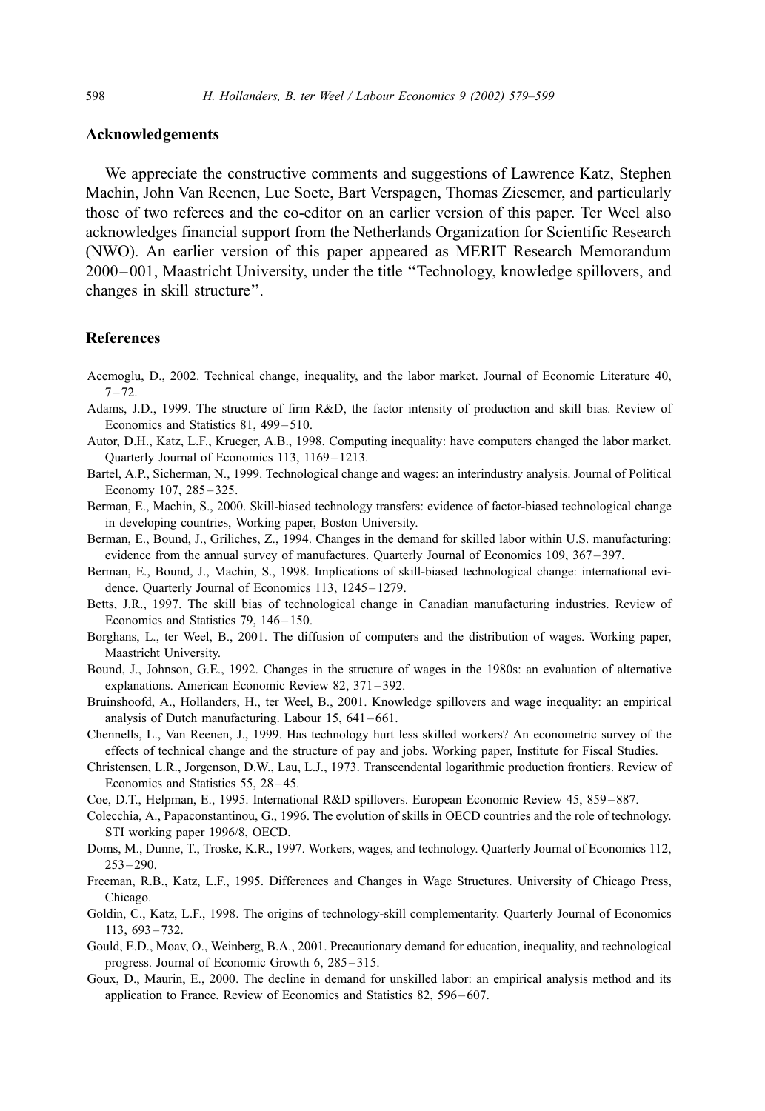#### <span id="page-20-0"></span>Acknowledgements

We appreciate the constructive comments and suggestions of Lawrence Katz, Stephen Machin, John Van Reenen, Luc Soete, Bart Verspagen, Thomas Ziesemer, and particularly those of two referees and the co-editor on an earlier version of this paper. Ter Weel also acknowledges financial support from the Netherlands Organization for Scientific Research (NWO). An earlier version of this paper appeared as MERIT Research Memorandum 2000– 001, Maastricht University, under the title ''Technology, knowledge spillovers, and changes in skill structure''.

### References

- Acemoglu, D., 2002. Technical change, inequality, and the labor market. Journal of Economic Literature 40,  $7 - 72.$
- Adams, J.D., 1999. The structure of firm R&D, the factor intensity of production and skill bias. Review of Economics and Statistics 81, 499 – 510.
- Autor, D.H., Katz, L.F., Krueger, A.B., 1998. Computing inequality: have computers changed the labor market. Quarterly Journal of Economics 113, 1169-1213.
- Bartel, A.P., Sicherman, N., 1999. Technological change and wages: an interindustry analysis. Journal of Political Economy 107, 285 – 325.
- Berman, E., Machin, S., 2000. Skill-biased technology transfers: evidence of factor-biased technological change in developing countries, Working paper, Boston University.
- Berman, E., Bound, J., Griliches, Z., 1994. Changes in the demand for skilled labor within U.S. manufacturing: evidence from the annual survey of manufactures. Quarterly Journal of Economics 109, 367 – 397.
- Berman, E., Bound, J., Machin, S., 1998. Implications of skill-biased technological change: international evidence. Quarterly Journal of Economics 113, 1245 – 1279.
- Betts, J.R., 1997. The skill bias of technological change in Canadian manufacturing industries. Review of Economics and Statistics 79, 146-150.
- Borghans, L., ter Weel, B., 2001. The diffusion of computers and the distribution of wages. Working paper, Maastricht University.
- Bound, J., Johnson, G.E., 1992. Changes in the structure of wages in the 1980s: an evaluation of alternative explanations. American Economic Review 82, 371 – 392.
- Bruinshoofd, A., Hollanders, H., ter Weel, B., 2001. Knowledge spillovers and wage inequality: an empirical analysis of Dutch manufacturing. Labour 15,  $641-661$ .
- Chennells, L., Van Reenen, J., 1999. Has technology hurt less skilled workers? An econometric survey of the effects of technical change and the structure of pay and jobs. Working paper, Institute for Fiscal Studies.
- Christensen, L.R., Jorgenson, D.W., Lau, L.J., 1973. Transcendental logarithmic production frontiers. Review of Economics and Statistics 55, 28 – 45.
- Coe, D.T., Helpman, E., 1995. International R&D spillovers. European Economic Review 45, 859 887.
- Colecchia, A., Papaconstantinou, G., 1996. The evolution of skills in OECD countries and the role of technology. STI working paper 1996/8, OECD.
- Doms, M., Dunne, T., Troske, K.R., 1997. Workers, wages, and technology. Quarterly Journal of Economics 112,  $253 - 290.$
- Freeman, R.B., Katz, L.F., 1995. Differences and Changes in Wage Structures. University of Chicago Press, Chicago.
- Goldin, C., Katz, L.F., 1998. The origins of technology-skill complementarity. Quarterly Journal of Economics 113, 693 – 732.
- Gould, E.D., Moav, O., Weinberg, B.A., 2001. Precautionary demand for education, inequality, and technological progress. Journal of Economic Growth 6, 285 – 315.
- Goux, D., Maurin, E., 2000. The decline in demand for unskilled labor: an empirical analysis method and its application to France. Review of Economics and Statistics 82, 596 – 607.